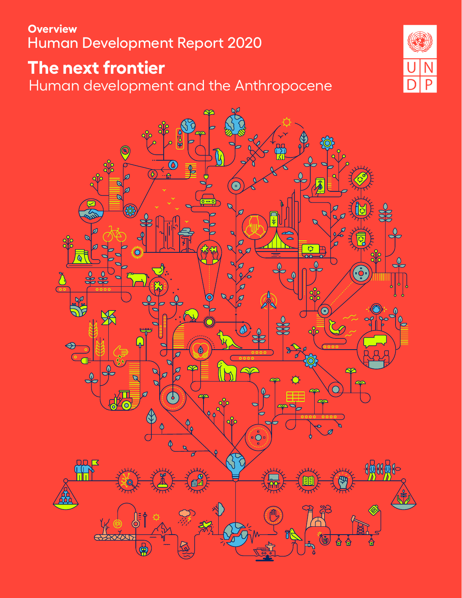# **Overview** Human Development Report 2020

# **The next frontier**

Human development and the Anthropocene



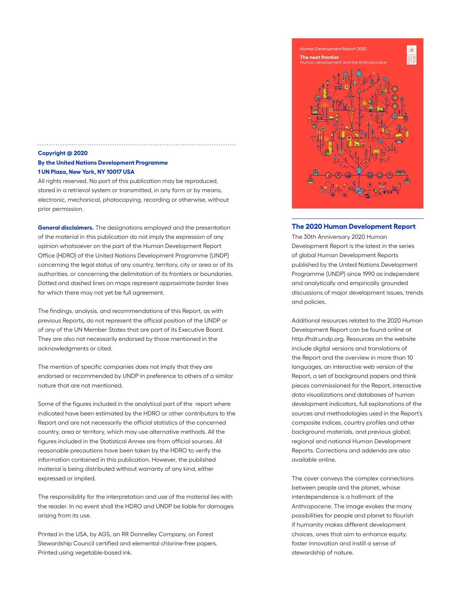## **Copyright @ 2020 By the United Nations Development Programme 1 UN Plaza, New York, NY 10017 USA**

All rights reserved. No part of this publication may be reproduced, stored in a retrieval system or transmitted, in any form or by means, electronic, mechanical, photocopying, recording or otherwise, without prior permission.

**General disclaimers.** The designations employed and the presentation of the material in this publication do not imply the expression of any opinion whatsoever on the part of the Human Development Report Office (HDRO) of the United Nations Development Programme (UNDP) concerning the legal status of any country, territory, city or area or of its authorities, or concerning the delimitation of its frontiers or boundaries. Dotted and dashed lines on maps represent approximate border lines for which there may not yet be full agreement.

The findings, analysis, and recommendations of this Report, as with previous Reports, do not represent the official position of the UNDP or of any of the UN Member States that are part of its Executive Board. They are also not necessarily endorsed by those mentioned in the acknowledgments or cited.

The mention of specific companies does not imply that they are endorsed or recommended by UNDP in preference to others of a similar nature that are not mentioned.

Some of the figures included in the analytical part of the report where indicated have been estimated by the HDRO or other contributors to the Report and are not necessarily the official statistics of the concerned country, area or territory, which may use alternative methods. All the figures included in the Statistical Annex are from official sources. All reasonable precautions have been taken by the HDRO to verify the information contained in this publication. However, the published material is being distributed without warranty of any kind, either expressed or implied.

The responsibility for the interpretation and use of the material lies with the reader. In no event shall the HDRO and UNDP be liable for damages arising from its use.

Printed in the USA, by AGS, an RR Donnelley Company, on Forest Stewardship Council certified and elemental chlorine-free papers. Printed using vegetable-based ink.



## **The 2020 Human Development Report**

The 30th Anniversary 2020 Human Development Report is the latest in the series of global Human Development Reports published by the United Nations Development Programme (UNDP) since 1990 as independent and analytically and empirically grounded discussions of major development issues, trends and policies.

Additional resources related to the 2020 Human Development Report can be found online at http://hdr.undp.org. Resources on the website include digital versions and translations of the Report and the overview in more than 10 languages, an interactive web version of the Report, a set of background papers and think pieces commissioned for the Report, interactive data visualizations and databases of human development indicators, full explanations of the sources and methodologies used in the Report's composite indices, country profiles and other background materials, and previous global, regional and national Human Development Reports. Corrections and addenda are also available online.

The cover conveys the complex connections between people and the planet, whose interdependence is a hallmark of the Anthropocene. The image evokes the many possibilities for people and planet to flourish if humanity makes different development choices, ones that aim to enhance equity, foster innovation and instill a sense of stewardship of nature.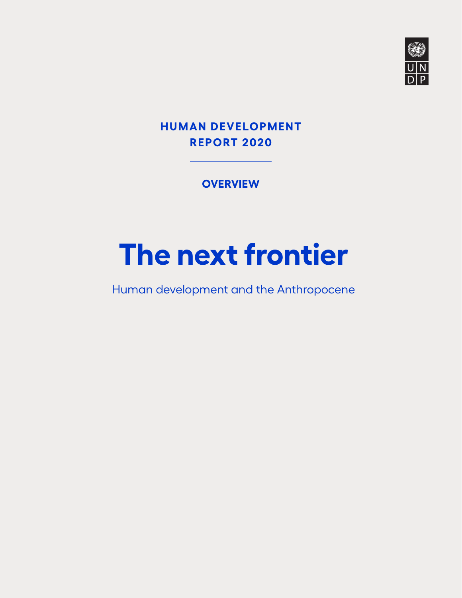

# **HUMAN DEVELOPMENT REPORT 2020**

**OVERVIEW**

# **The next frontier**

Human development and the Anthropocene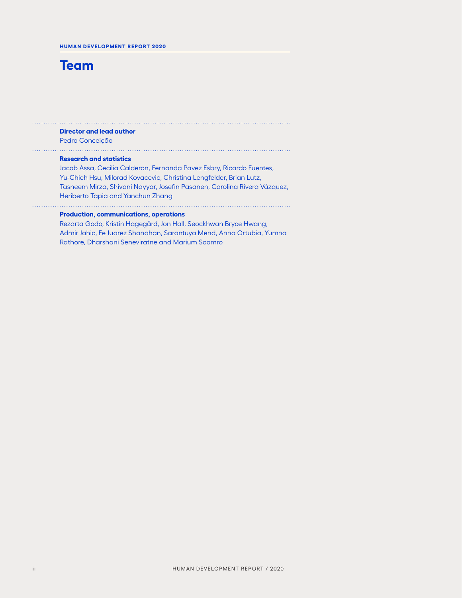# **Team**

# **Director and lead author** Pedro Conceição **Research and statistics** Jacob Assa, Cecilia Calderon, Fernanda Pavez Esbry, Ricardo Fuentes, Yu‑Chieh Hsu, Milorad Kovacevic, Christina Lengfelder, Brian Lutz, Tasneem Mirza, Shivani Nayyar, Josefin Pasanen, Carolina Rivera Vázquez, Heriberto Tapia and Yanchun Zhang **Production, communications, operations** Rezarta Godo, Kristin Hagegård, Jon Hall, Seockhwan Bryce Hwang, Admir Jahic, Fe Juarez Shanahan, Sarantuya Mend, Anna Ortubia, Yumna

Rathore, Dharshani Seneviratne and Marium Soomro

ii i HUMAN DEVELOPMENT REPORT / 2020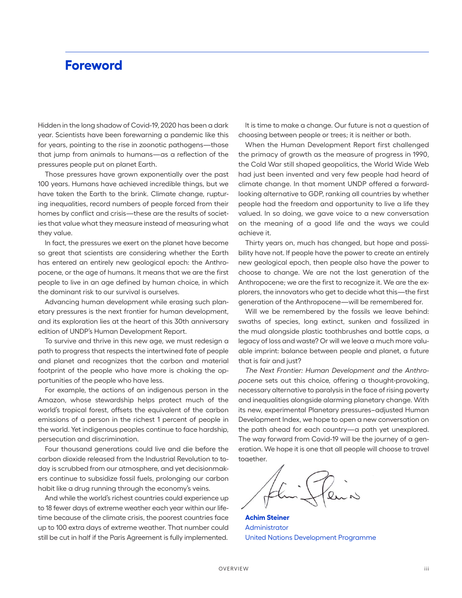# **Foreword**

Hidden in the long shadow of Covid-19, 2020 has been a dark year. Scientists have been forewarning a pandemic like this for years, pointing to the rise in zoonotic pathogens—those that jump from animals to humans—as a reflection of the pressures people put on planet Earth.

Those pressures have grown exponentially over the past 100 years. Humans have achieved incredible things, but we have taken the Earth to the brink. Climate change, rupturing inequalities, record numbers of people forced from their homes by conflict and crisis—these are the results of societies that value what they measure instead of measuring what they value.

In fact, the pressures we exert on the planet have become so great that scientists are considering whether the Earth has entered an entirely new geological epoch: the Anthropocene, or the age of humans. It means that we are the first people to live in an age defined by human choice, in which the dominant risk to our survival is ourselves.

Advancing human development while erasing such planetary pressures is the next frontier for human development, and its exploration lies at the heart of this 30th anniversary edition of UNDP's Human Development Report.

To survive and thrive in this new age, we must redesign a path to progress that respects the intertwined fate of people and planet and recognizes that the carbon and material footprint of the people who have more is choking the opportunities of the people who have less.

For example, the actions of an indigenous person in the Amazon, whose stewardship helps protect much of the world's tropical forest, offsets the equivalent of the carbon emissions of a person in the richest 1 percent of people in the world. Yet indigenous peoples continue to face hardship, persecution and discrimination.

Four thousand generations could live and die before the carbon dioxide released from the Industrial Revolution to today is scrubbed from our atmosphere, and yet decisionmakers continue to subsidize fossil fuels, prolonging our carbon habit like a drug running through the economy's veins.

And while the world's richest countries could experience up to 18 fewer days of extreme weather each year within our lifetime because of the climate crisis, the poorest countries face up to 100 extra days of extreme weather. That number could still be cut in half if the Paris Agreement is fully implemented.

It is time to make a change. Our future is not a question of choosing between people or trees; it is neither or both.

When the Human Development Report first challenged the primacy of growth as the measure of progress in 1990, the Cold War still shaped geopolitics, the World Wide Web had just been invented and very few people had heard of climate change. In that moment UNDP offered a forwardlooking alternative to GDP, ranking all countries by whether people had the freedom and opportunity to live a life they valued. In so doing, we gave voice to a new conversation on the meaning of a good life and the ways we could achieve it.

Thirty years on, much has changed, but hope and possibility have not. If people have the power to create an entirely new geological epoch, then people also have the power to choose to change. We are not the last generation of the Anthropocene; we are the first to recognize it. We are the explorers, the innovators who get to decide what this—the first generation of the Anthropocene—will be remembered for.

Will we be remembered by the fossils we leave behind: swaths of species, long extinct, sunken and fossilized in the mud alongside plastic toothbrushes and bottle caps, a legacy of loss and waste? Or will we leave a much more valuable imprint: balance between people and planet, a future that is fair and just?

*The Next Frontier: Human Development and the Anthropocene* sets out this choice, offering a thought-provoking, necessary alternative to paralysis in the face of rising poverty and inequalities alongside alarming planetary change. With its new, experimental Planetary pressures–adjusted Human Development Index, we hope to open a new conversation on the path ahead for each country—a path yet unexplored. The way forward from Covid-19 will be the journey of a generation. We hope it is one that all people will choose to travel together.

**Achim Steiner** Administrator United Nations Development Programme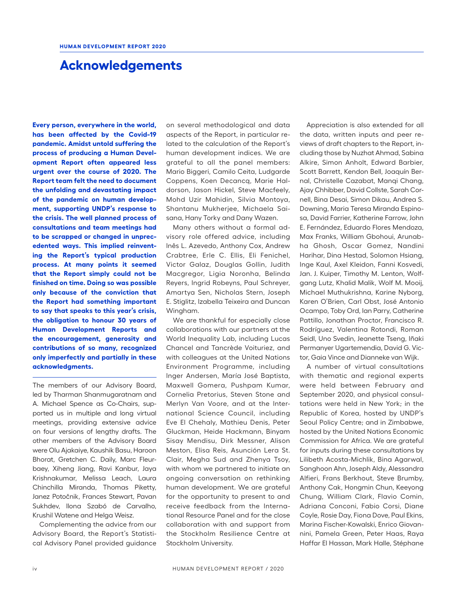# **Acknowledgements**

**Every person, everywhere in the world, has been affected by the Covid-19 pandemic. Amidst untold suffering the process of producing a Human Development Report often appeared less urgent over the course of 2020. The Report team felt the need to document the unfolding and devastating impact of the pandemic on human development, supporting UNDP's response to the crisis. The well planned process of consultations and team meetings had to be scrapped or changed in unprecedented ways. This implied reinventing the Report's typical production process. At many points it seemed that the Report simply could not be finished on time. Doing so was possible only because of the conviction that the Report had something important to say that speaks to this year's crisis, the obligation to honour 30 years of Human Development Reports and the encouragement, generosity and contributions of so many, recognized only imperfectly and partially in these acknowledgments.**

The members of our Advisory Board, led by Tharman Shanmugaratnam and A. Michael Spence as Co-Chairs, supported us in multiple and long virtual meetings, providing extensive advice on four versions of lengthy drafts. The other members of the Advisory Board were Olu Ajakaiye, Kaushik Basu, Haroon Bhorat, Gretchen C. Daily, Marc Fleurbaey, Xiheng Jiang, Ravi Kanbur, Jaya Krishnakumar, Melissa Leach, Laura Chinchilla Miranda, Thomas Piketty, Janez Potočnik, Frances Stewart, Pavan Sukhdev, Ilona Szabó de Carvalho, Krushil Watene and Helga Weisz.

Complementing the advice from our Advisory Board, the Report's Statistical Advisory Panel provided guidance

on several methodological and data aspects of the Report, in particular re‑ lated to the calculation of the Report's human development indices. We are grateful to all the panel members: Mario Biggeri, Camilo Ceita, Ludgarde Coppens, Koen Decancq, Marie Hal‑ dorson, Jason Hickel, Steve Macfeely, Mohd Uzir Mahidin, Silvia Montoya, Shantanu Mukherjee, Michaela Sai‑ sana, Hany Torky and Dany Wazen.

Many others without a formal ad‑ visory role offered advice, including Inês L. Azevedo, Anthony Cox, Andrew Crabtree, Erle C. Ellis, Eli Fenichel, Victor Galaz, Douglas Gollin, Judith Macgregor, Ligia Noronha, Belinda Reyers, Ingrid Robeyns, Paul Schreyer, Amartya Sen, Nicholas Stern, Joseph E. Stiglitz, Izabella Teixeira and Duncan Wingham.

We are thankful for especially close collaborations with our partners at the World Inequality Lab, including Lucas Chancel and Tancrède Voituriez, and with colleagues at the United Nations Environment Programme, including Inger Andersen, María José Baptista, Maxwell Gomera, Pushpam Kumar, Cornelia Pretorius, Steven Stone and Merlyn Van Voore, and at the International Science Council, including Eve El Chehaly, Mathieu Denis, Peter Gluckman, Heide Hackmann, Binyam Sisay Mendisu, Dirk Messner, Alison Meston, Elisa Reis, Asunción Lera St. Clair, Megha Sud and Zhenya Tsoy, with whom we partnered to initiate an ongoing conversation on rethinking human development. We are grateful for the opportunity to present to and receive feedback from the International Resource Panel and for the close collaboration with and support from the Stockholm Resilience Centre at Stockholm University.

Appreciation is also extended for all the data, written inputs and peer re‑ views of draft chapters to the Report, in‑ cluding those by Nuzhat Ahmad, Sabina Alkire, Simon Anholt, Edward Barbier, Scott Barrett, Kendon Bell, Joaquín Ber‑ nal, Christelle Cazabat, Manqi Chang, Ajay Chhibber, David Collste, Sarah Cor‑ nell, Bina Desai, Simon Dikau, Andrea S. Downing, Maria Teresa Miranda Espino‑ sa, David Farrier, Katherine Farrow, John E. Fernández, Eduardo Flores Mendoza, Max Franks, William Gbohoui, Arunabha Ghosh, Oscar Gomez, Nandini Harihar, Dina Hestad, Solomon Hsiang, Inge Kaul, Axel Kleidon, Fanni Kosvedi, Jan. J. Kuiper, Timothy M. Lenton, Wolfgang Lutz, Khalid Malik, Wolf M. Mooij, Michael Muthukrishna, Karine Nyborg, Karen O'Brien, Carl Obst, José Antonio Ocampo, Toby Ord, Ian Parry, Catherine Pattillo, Jonathan Proctor, Francisco R. Rodríguez, Valentina Rotondi, Roman Seidl, Uno Svedin, Jeanette Tseng, Iñaki Permanyer Ugartemendia, David G. Victor, Gaia Vince and Dianneke van Wijk.

A number of virtual consultations with thematic and regional experts were held between February and September 2020, and physical consultations were held in New York; in the Republic of Korea, hosted by UNDP's Seoul Policy Centre; and in Zimbabwe, hosted by the United Nations Economic Commission for Africa. We are grateful for inputs during these consultations by Lilibeth Acosta-Michlik, Bina Agarwal, Sanghoon Ahn, Joseph Aldy, Alessandra Alfieri, Frans Berkhout, Steve Brumby, Anthony Cak, Hongmin Chun, Keeyong Chung, William Clark, Flavio Comin, Adriana Conconi, Fabio Corsi, Diane Coyle, Rosie Day, Fiona Dove, Paul Ekins, Marina Fischer-Kowalski, Enrico Giovannini, Pamela Green, Peter Haas, Raya Haffar El Hassan, Mark Halle, Stéphane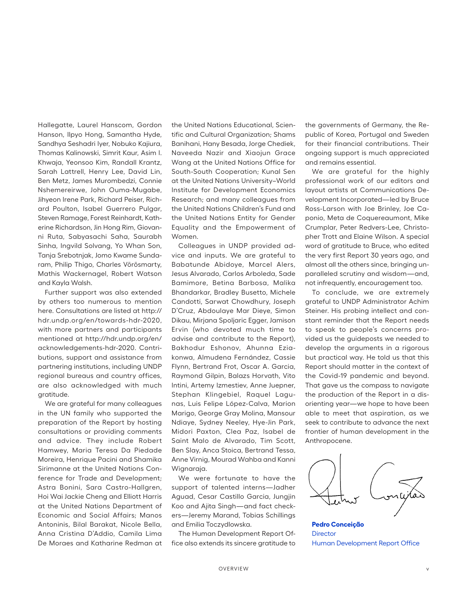Hallegatte, Laurel Hanscom, Gordon Hanson, Ilpyo Hong, Samantha Hyde, Sandhya Seshadri Iyer, Nobuko Kajiura, Thomas Kalinowski, Simrit Kaur, Asim I. Khwaja, Yeonsoo Kim, Randall Krantz, Sarah Lattrell, Henry Lee, David Lin, Ben Metz, James Murombedzi, Connie Nshemereirwe, John Ouma-Mugabe, Jihyeon Irene Park, Richard Peiser, Richard Poulton, Isabel Guerrero Pulgar, Steven Ramage, Forest Reinhardt, Katherine Richardson, Jin Hong Rim, Giovanni Ruta, Sabyasachi Saha, Saurabh Sinha, Ingvild Solvang, Yo Whan Son, Tanja Srebotniak, Jomo Kwame Sundaram, Philip Thigo, Charles Vörösmarty, Mathis Wackernagel, Robert Watson and Kayla Walsh.

Further support was also extended by others too numerous to mention here. Consultations are listed at [http://](http://hdr.undp.org/en/towards-hdr-2020) [hdr.undp.org/en/towards-hdr-2020](http://hdr.undp.org/en/towards-hdr-2020), with more partners and participants mentioned at [http://hdr.undp.org/en/](http://hdr.undp.org/en/acknowledgements-hdr-2020) [acknowledgements-hdr-2020](http://hdr.undp.org/en/acknowledgements-hdr-2020). Contributions, support and assistance from partnering institutions, including UNDP regional bureaus and country offices, are also acknowledged with much gratitude.

We are grateful for many colleagues in the UN family who supported the preparation of the Report by hosting consultations or providing comments and advice. They include Robert Hamwey, Maria Teresa Da Piedade Moreira, Henrique Pacini and Shamika Sirimanne at the United Nations Conference for Trade and Development; Astra Bonini, Sara Castro-Hallgren, Hoi Wai Jackie Cheng and Elliott Harris at the United Nations Department of Economic and Social Affairs; Manos Antoninis, Bilal Barakat, Nicole Bella, Anna Cristina D'Addio, Camila Lima De Moraes and Katharine Redman at

the United Nations Educational, Scientific and Cultural Organization; Shams Banihani, Hany Besada, Jorge Chediek, Naveeda Nazir and Xiaojun Grace Wang at the United Nations Office for South-South Cooperation; Kunal Sen at the United Nations University–World Institute for Development Economics Research; and many colleagues from the United Nations Children's Fund and the United Nations Entity for Gender Equality and the Empowerment of Women.

Colleagues in UNDP provided ad‑ vice and inputs. We are grateful to Babatunde Abidoye, Marcel Alers, Jesus Alvarado, Carlos Arboleda, Sade Bamimore, Betina Barbosa, Malika Bhandarkar, Bradley Busetto, Michele Candotti, Sarwat Chowdhury, Joseph D'Cruz, Abdoulaye Mar Dieye, Simon Dikau, Mirjana Spoljaric Egger, Jamison Ervin (who devoted much time to advise and contribute to the Report), Bakhodur Eshonov, Ahunna Eziakonwa, Almudena Fernández, Cassie Flynn, Bertrand Frot, Oscar A. Garcia, Raymond Gilpin, Balazs Horvath, Vito Intini, Artemy Izmestiev, Anne Juepner, Stephan Klingebiel, Raquel Lagunas, Luis Felipe López-Calva, Marion Marigo, George Gray Molina, Mansour Ndiaye, Sydney Neeley, Hye-Jin Park, Midori Paxton, Clea Paz, Isabel de Saint Malo de Alvarado, Tim Scott, Ben Slay, Anca Stoica, Bertrand Tessa, Anne Virnig, Mourad Wahba and Kanni Wignaraja.

We were fortunate to have the support of talented interns—Jadher Aguad, Cesar Castillo Garcia, Jungjin Koo and Ajita Singh—and fact check‑ ers—Jeremy Marand, Tobias Schillings and Emilia Toczydlowska.

The Human Development Report Office also extends its sincere gratitude to the governments of Germany, the Re‑ public of Korea, Portugal and Sweden for their financial contributions. Their ongoing support is much appreciated and remains essential.

We are grateful for the highly professional work of our editors and layout artists at Communications De‑ velopment Incorporated—led by Bruce Ross-Larson with Joe Brinley, Joe Ca‑ ponio, Meta de Coquereaumont, Mike Crumplar, Peter Redvers-Lee, Christopher Trott and Elaine Wilson. A special word of gratitude to Bruce, who edited the very first Report 30 years ago, and almost all the others since, bringing un‑ paralleled scrutiny and wisdom—and, not infrequently, encouragement too.

To conclude, we are extremely grateful to UNDP Administrator Achim Steiner. His probing intellect and constant reminder that the Report needs to speak to people's concerns pro‑ vided us the guideposts we needed to develop the arguments in a rigorous but practical way. He told us that this Report should matter in the context of the Covid-19 pandemic and beyond. That gave us the compass to navigate the production of the Report in a disorienting year—we hope to have been able to meet that aspiration, as we seek to contribute to advance the next frontier of human development in the Anthropocene.



**Pedro Conceição Director** Human Development Report Office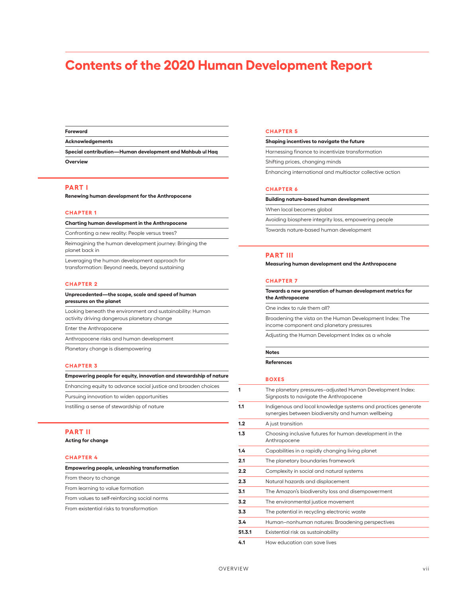# **Contents of the 2020 Human Development Report**

#### **Foreword**

#### **Acknowledgements**

**Special contribution—Human development and Mahbub ul Haq Overview**

### **PA RT I**

**Renewing human development for the Anthropocene**

#### **CHAPTER 1**

**Charting human development in the Anthropocene**

Confronting a new reality: People versus trees?

Reimagining the human development journey: Bringing the planet back in

Leveraging the human development approach for transformation: Beyond needs, beyond sustaining

#### **CHAPTER 2**

**Unprecedented—the scope, scale and speed of human pressures on the planet**

Looking beneath the environment and sustainability: Human activity driving dangerous planetary change

Enter the Anthropocene

Anthropocene risks and human development

Planetary change is disempowering

### **CHAPTER 3**

**Empowering people for equity, innovation and stewardship of nature**

Enhancing equity to advance social justice and broaden choices

Pursuing innovation to widen opportunities

Instilling a sense of stewardship of nature

## **PART II**

**Acting for change**

### **CHAPTER 4**

| Empowering people, unleashing transformation |  |  |  |  |  |  |  |  |
|----------------------------------------------|--|--|--|--|--|--|--|--|
| From theory to change                        |  |  |  |  |  |  |  |  |
| From learning to value formation             |  |  |  |  |  |  |  |  |
| From values to self-reinforcing social norms |  |  |  |  |  |  |  |  |

From existential risks to transformation

#### **CHAPTER 5**

## **Shaping incentives to navigate the future**

| Harnessing finance to incentivize transformation         |  |  |  |  |  |  |  |  |
|----------------------------------------------------------|--|--|--|--|--|--|--|--|
| Shifting prices, changing minds                          |  |  |  |  |  |  |  |  |
| Enhancina international and multiactor collective action |  |  |  |  |  |  |  |  |

#### **CHAPTER 6**

**Building nature-based human development**

When local becomes global

Avoiding biosphere integrity loss, empowering people

Towards nature-based human development

### **PA RT III**

**Measuring human development and the Anthropocene**

#### **CHAPTER 7**

**Towards a new generation of human development metrics for the Anthropocene**

One index to rule them all?

Broadening the vista on the Human Development Index: The income component and planetary pressures

Adjusting the Human Development Index as a whole

#### **Notes**

**References**

#### **BOXES**

| 1                | The planetary pressures-adjusted Human Development Index:<br>Signposts to navigate the Anthropocene                 |
|------------------|---------------------------------------------------------------------------------------------------------------------|
| 1.1              | Indigenous and local knowledge systems and practices generate<br>synergies between biodiversity and human wellbeing |
| 1.2              | A just transition                                                                                                   |
| 1.3              | Choosing inclusive futures for human development in the<br>Anthropocene                                             |
| 1.4              | Capabilities in a rapidly changing living planet                                                                    |
| 2.1              | The planetary boundaries framework                                                                                  |
| 2.2              | Complexity in social and natural systems                                                                            |
| $2.3\phantom{0}$ | Natural hazards and displacement                                                                                    |
| 3.1              | The Amazon's biodiversity loss and disempowerment                                                                   |
| 3.2              | The environmental justice movement                                                                                  |
| 3.3              | The potential in recycling electronic waste                                                                         |
| 3.4              | Human-nonhuman natures: Broadening perspectives                                                                     |
| S1.3.1           | Existential risk as sustainability                                                                                  |
| 4.1              | How education can save lives                                                                                        |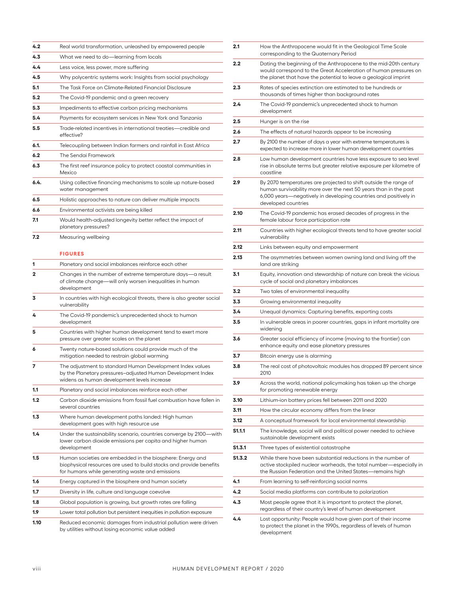| 4.2  | Real world transformation, unleashed by empowered people                                                                                                                            |
|------|-------------------------------------------------------------------------------------------------------------------------------------------------------------------------------------|
| 4.3  | What we need to do—learning from locals                                                                                                                                             |
| 4.4  | Less voice, less power, more suffering                                                                                                                                              |
| 4.5  | Why polycentric systems work: Insights from social psychology                                                                                                                       |
| 5.1  | The Task Force on Climate-Related Financial Disclosure                                                                                                                              |
| 5.2  | The Covid-19 pandemic and a green recovery                                                                                                                                          |
| 5.3  | Impediments to effective carbon pricing mechanisms                                                                                                                                  |
| 5.4  | Payments for ecosystem services in New York and Tanzania                                                                                                                            |
| 5.5  | Trade-related incentives in international treaties—credible and<br>effective?                                                                                                       |
| 6.1. | Telecoupling between Indian farmers and rainfall in East Africa                                                                                                                     |
| 6.2  | The Sendai Framework                                                                                                                                                                |
| 6.3  | The first reef insurance policy to protect coastal communities in<br>Mexico                                                                                                         |
| 6.4. | Using collective financing mechanisms to scale up nature-based<br>water management                                                                                                  |
| 6.5  | Holistic approaches to nature can deliver multiple impacts                                                                                                                          |
| 6.6  | Environmental activists are being killed                                                                                                                                            |
| 7.1  | Would health-adjusted longevity better reflect the impact of<br>planetary pressures?                                                                                                |
| 7.2  | Measuring wellbeing                                                                                                                                                                 |
|      |                                                                                                                                                                                     |
|      | <b>FIGURES</b>                                                                                                                                                                      |
| 1    | Planetary and social imbalances reinforce each other                                                                                                                                |
| 2    | Changes in the number of extreme temperature days—a result<br>of climate change—will only worsen inequalities in human<br>development                                               |
| 3    | In countries with high ecological threats, there is also greater social<br>vulnerability                                                                                            |
| 4    | The Covid-19 pandemic's unprecedented shock to human<br>development                                                                                                                 |
| 5    | Countries with higher human development tend to exert more<br>pressure over greater scales on the planet                                                                            |
| 6    | Twenty nature-based solutions could provide much of the<br>mitigation needed to restrain global warming                                                                             |
| 7    | The adjustment to standard Human Development Index values<br>by the Planetary pressures-adjusted Human Development Index<br>widens as human development levels increase             |
| 1.1  | Planetary and social imbalances reinforce each other                                                                                                                                |
| 1.2  | Carbon dioxide emissions from fossil fuel combustion have fallen in<br>several countries                                                                                            |
| 1.3  | Where human development paths landed: High human<br>development goes with high resource use                                                                                         |
| 1.4  | Under the sustainability scenario, countries converge by 2100—with<br>lower carbon dioxide emissions per capita and higher human<br>development                                     |
| 1.5  | Human societies are embedded in the biosphere: Energy and<br>biophysical resources are used to build stocks and provide benefits<br>for humans while generating waste and emissions |
| 1.6  | Energy captured in the biosphere and human society                                                                                                                                  |
| 1.7  | Diversity in life, culture and language coevolve                                                                                                                                    |
| 1.8  | Global population is growing, but growth rates are falling                                                                                                                          |
| 1.9  | Lower total pollution but persistent inequities in pollution exposure                                                                                                               |
| 1.10 | Reduced economic damages from industrial pollution were driven<br>by utilities without losing economic value added                                                                  |

| 2.1    | How the Anthropocene would fit in the Geological Time Scale<br>corresponding to the Quaternary Period                                                                                                                           |
|--------|---------------------------------------------------------------------------------------------------------------------------------------------------------------------------------------------------------------------------------|
| 2.2    | Dating the beginning of the Anthropocene to the mid-20th century<br>would correspond to the Great Acceleration of human pressures on<br>the planet that have the potential to leave a geological imprint                        |
| 2.3    | Rates of species extinction are estimated to be hundreds or<br>thousands of times higher than background rates                                                                                                                  |
| 2.4    | The Covid-19 pandemic's unprecedented shock to human<br>development                                                                                                                                                             |
| 2.5    | Hunger is on the rise                                                                                                                                                                                                           |
| 2.6    | The effects of natural hazards appear to be increasing                                                                                                                                                                          |
| 2.7    | By 2100 the number of days a year with extreme temperatures is<br>expected to increase more in lower human development countries                                                                                                |
| 2.8    | Low human development countries have less exposure to sea level<br>rise in absolute terms but greater relative exposure per kilometre of<br>coastline                                                                           |
| 2.9    | By 2070 temperatures are projected to shift outside the range of<br>human survivability more over the next 50 years than in the past<br>6,000 years—negatively in developing countries and positively in<br>developed countries |
| 2.10   | The Covid-19 pandemic has erased decades of progress in the<br>female labour force participation rate                                                                                                                           |
| 2.11   | Countries with higher ecological threats tend to have greater social<br>vulnerability                                                                                                                                           |
| 2.12   | Links between equity and empowerment                                                                                                                                                                                            |
| 2.13   | The asymmetries between women owning land and living off the<br>land are striking                                                                                                                                               |
| 3.1    | Equity, innovation and stewardship of nature can break the vicious<br>cycle of social and planetary imbalances                                                                                                                  |
| 3.2    | Two tales of environmental inequality                                                                                                                                                                                           |
| 3.3    | Growing environmental inequality                                                                                                                                                                                                |
| 3.4    | Unequal dynamics: Capturing benefits, exporting costs                                                                                                                                                                           |
| 3.5    | In vulnerable areas in poorer countries, gaps in infant mortality are<br>widening                                                                                                                                               |
| 3.6    | Greater social efficiency of income (moving to the frontier) can<br>enhance equity and ease planetary pressures                                                                                                                 |
| 3.7    | Bitcoin energy use is alarming                                                                                                                                                                                                  |
| 3.8    | The real cost of photovoltaic modules has dropped 89 percent since<br>2010                                                                                                                                                      |
| 3.9    | Across the world, national policymaking has taken up the charge<br>for promoting renewable energy                                                                                                                               |
| 3.10   | Lithium-ion battery prices fell between 2011 and 2020                                                                                                                                                                           |
| 3.11   | How the circular economy differs from the linear                                                                                                                                                                                |
| 3.12   | A conceptual framework for local environmental stewardship                                                                                                                                                                      |
| S1.1.1 | The knowledge, social will and political power needed to achieve<br>sustainable development exists                                                                                                                              |
| S1.3.1 | Three types of existential catastrophe                                                                                                                                                                                          |
| S1.3.2 | While there have been substantial reductions in the number of<br>active stockpiled nuclear warheads, the total number-especially in<br>the Russian Federation and the United States-remains high                                |
| 4.1    | From learning to self-reinforcing social norms                                                                                                                                                                                  |
| 4.2    | Social media platforms can contribute to polarization                                                                                                                                                                           |
| 4.3    | Most people agree that it is important to protect the planet,<br>regardless of their country's level of human development                                                                                                       |
| 4.4    | Lost opportunity: People would have given part of their income<br>to protect the planet in the 1990s, regardless of levels of human<br>development                                                                              |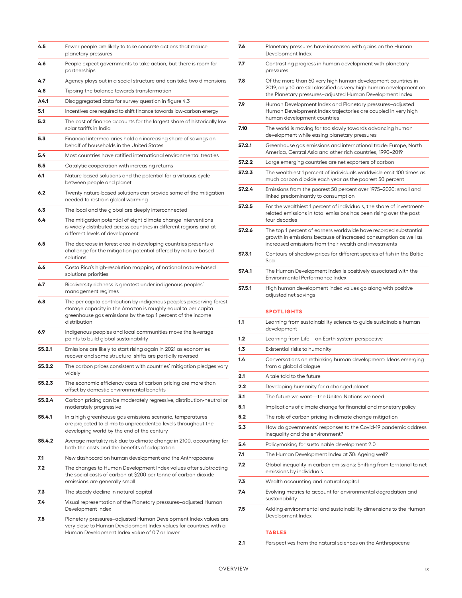| 4.5           | Fewer people are likely to take concrete actions that reduce<br>planetary pressures                                                                                                                                 |
|---------------|---------------------------------------------------------------------------------------------------------------------------------------------------------------------------------------------------------------------|
| 4.6           | People expect governments to take action, but there is room for<br>partnerships                                                                                                                                     |
| 4.7           | Agency plays out in a social structure and can take two dimensions                                                                                                                                                  |
| 4.8           | Tipping the balance towards transformation                                                                                                                                                                          |
| A4.1          | Disaggregated data for survey question in figure 4.3                                                                                                                                                                |
| 5.1           | Incentives are required to shift finance towards low-carbon energy                                                                                                                                                  |
| 5.2           | The cost of finance accounts for the largest share of historically low<br>solar tariffs in India                                                                                                                    |
| 5.3           | Financial intermediaries hold an increasing share of savings on<br>behalf of households in the United States                                                                                                        |
| 5.4           | Most countries have ratified international environmental treaties                                                                                                                                                   |
| 5.5           | Catalytic cooperation with increasing returns                                                                                                                                                                       |
| 6.1           | Nature-based solutions and the potential for a virtuous cycle<br>between people and planet                                                                                                                          |
| 6.2           | Twenty nature-based solutions can provide some of the mitigation<br>needed to restrain global warming                                                                                                               |
| 6.3           | The local and the global are deeply interconnected                                                                                                                                                                  |
| 6.4           | The mitigation potential of eight climate change interventions<br>is widely distributed across countries in different regions and at<br>different levels of development                                             |
| 6.5           | The decrease in forest area in developing countries presents a<br>challenge for the mitigation potential offered by nature-based<br>solutions                                                                       |
| 6.6           | Costa Rica's high-resolution mapping of national nature-based<br>solutions priorities                                                                                                                               |
| 6.7           | Biodiversity richness is greatest under indigenous peoples'<br>management regimes                                                                                                                                   |
| 6.8           | The per capita contribution by indigenous peoples preserving forest<br>storage capacity in the Amazon is roughly equal to per capita<br>greenhouse gas emissions by the top 1 percent of the income<br>distribution |
| 6.9           | Indigenous peoples and local communities move the leverage<br>points to build global sustainability                                                                                                                 |
| S5.2.1        | Emissions are likely to start rising again in 2021 as economies<br>recover and some structural shifts are partially reversed                                                                                        |
| S5.2.2        | The carbon prices consistent with countries' mitigation pledges vary<br>widely                                                                                                                                      |
| <b>S5.2.3</b> | The economic efficiency costs of carbon pricing are more than<br>offset by domestic environmental benefits                                                                                                          |
| S5.2.4        | Carbon pricing can be moderately regressive, distribution-neutral or<br>moderately progressive                                                                                                                      |
| S5.4.1        | In a high greenhouse gas emissions scenario, temperatures<br>are projected to climb to unprecedented levels throughout the<br>developing world by the end of the century                                            |
| S5.4.2        | Average mortality risk due to climate change in 2100, accounting for<br>both the costs and the benefits of adaptation                                                                                               |
| 7.1           | New dashboard on human development and the Anthropocene                                                                                                                                                             |
| 7.2           | The changes to Human Development Index values after subtracting<br>the social costs of carbon at \$200 per tonne of carbon dioxide<br>emissions are generally small                                                 |
| 7.3           | The steady decline in natural capital                                                                                                                                                                               |
| 7.4           | Visual representation of the Planetary pressures-adjusted Human<br>Development Index                                                                                                                                |
| 7.5           | Planetary pressures-adjusted Human Development Index values are<br>very close to Human Development Index values for countries with a<br>Human Development Index value of 0.7 or lower                               |

| 7.6    | Planetary pressures have increased with gains on the Human<br>Development Index                                                                                                                  |
|--------|--------------------------------------------------------------------------------------------------------------------------------------------------------------------------------------------------|
| 7.7    | Contrasting progress in human development with planetary<br>pressures                                                                                                                            |
| 7.8    | Of the more than 60 very high human development countries in<br>2019, only 10 are still classified as very high human development on<br>the Planetary pressures-adjusted Human Development Index |
| 7.9    | Human Development Index and Planetary pressures-adjusted<br>Human Development Index trajectories are coupled in very high<br>human development countries                                         |
| 7.10   | The world is moving far too slowly towards advancing human<br>development while easing planetary pressures                                                                                       |
| S7.2.1 | Greenhouse gas emissions and international trade: Europe, North<br>America, Central Asia and other rich countries, 1990-2019                                                                     |
| S7.2.2 | Large emerging countries are net exporters of carbon                                                                                                                                             |
| S7.2.3 | The wealthiest 1 percent of individuals worldwide emit 100 times as<br>much carbon dioxide each year as the poorest 50 percent                                                                   |
| S7.2.4 | Emissions from the poorest 50 percent over 1975–2020: small and<br>linked predominantly to consumption                                                                                           |
| S7.2.5 | For the wealthiest 1 percent of individuals, the share of investment-<br>related emissions in total emissions has been rising over the past<br>four decades                                      |
| S7.2.6 | The top 1 percent of earners worldwide have recorded substantial<br>growth in emissions because of increased consumption as well as<br>increased emissions from their wealth and investments     |
| S7.3.1 | Contours of shadow prices for different species of fish in the Baltic<br>Sea                                                                                                                     |
| S7.4.1 | The Human Development Index is positively associated with the<br>Environmental Performance Index                                                                                                 |
| S7.5.1 | High human development index values go along with positive<br>adjusted net savings                                                                                                               |
|        | <b>SPOTLIGHTS</b>                                                                                                                                                                                |
| 1.1    | Learning from sustainability science to guide sustainable human<br>development                                                                                                                   |
| 1.2    | Learning from Life-an Earth system perspective                                                                                                                                                   |
| 1.3    | Existential risks to humanity                                                                                                                                                                    |
| 1.4    | Conversations on rethinking human development: Ideas emerging<br>from a global dialogue                                                                                                          |
| 2.1    | A tale told to the future                                                                                                                                                                        |
| 2.2    | Developing humanity for a changed planet                                                                                                                                                         |
| 3.1    | The future we want-the United Nations we need                                                                                                                                                    |
| 5.1    | Implications of climate change for financial and monetary policy                                                                                                                                 |
| 5.2    | The role of carbon pricing in climate change mitigation                                                                                                                                          |
| 5.3    | How do governments' responses to the Covid-19 pandemic address<br>inequality and the environment?                                                                                                |
| 5.4    | Policymaking for sustainable development 2.0                                                                                                                                                     |
| 7.1    | The Human Development Index at 30: Ageing well?                                                                                                                                                  |
| 7.2    | Global inequality in carbon emissions: Shifting from territorial to net<br>emissions by individuals                                                                                              |
| 7.3    | Wealth accounting and natural capital                                                                                                                                                            |
| 7.4    | Evolving metrics to account for environmental degradation and<br>sustainability                                                                                                                  |
| 7.5    | Adding environmental and sustainability dimensions to the Human<br>Development Index                                                                                                             |

#### **TA B L E S**

**2.1** Perspectives from the natural sciences on the Anthropocene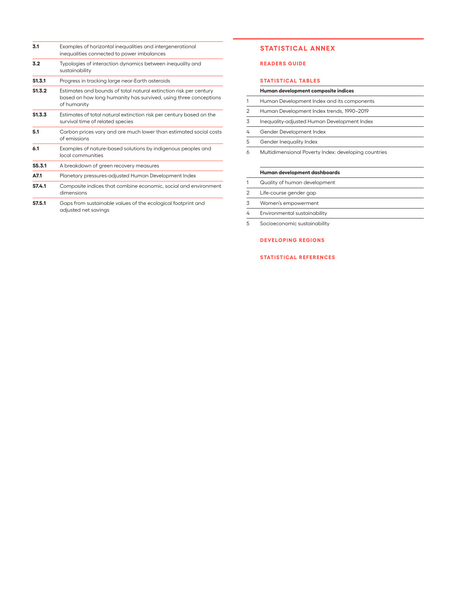| 3.1    | Examples of horizontal inequalities and intergenerational<br>inequalities connected to power imbalances                                              |
|--------|------------------------------------------------------------------------------------------------------------------------------------------------------|
| 3.2    | Typologies of interaction dynamics between inequality and<br>sustainability                                                                          |
| S1.3.1 | Progress in tracking large near-Earth asteroids                                                                                                      |
| S1.3.2 | Estimates and bounds of total natural extinction risk per century<br>based on how long humanity has survived, using three conceptions<br>of humanity |
| S1.3.3 | Estimates of total natural extinction risk per century based on the<br>survival time of related species                                              |
| 5.1    | Carbon prices vary and are much lower than estimated social costs<br>of emissions                                                                    |
| 6.1    | Examples of nature-based solutions by indigenous peoples and<br>local communities                                                                    |
| S5.3.1 | A breakdown of green recovery measures                                                                                                               |
| A7.1   | Planetary pressures-adjusted Human Development Index                                                                                                 |
| S7.4.1 | Composite indices that combine economic, social and environment<br>dimensions                                                                        |
| S7.5.1 | Gaps from sustainable values of the ecological footprint and<br>adiusted net savinas                                                                 |

# **STATISTICAL ANNEX**

## **READERS GUIDE**

## **STATISTICAL TABLES**

|   | Human development composite indices                  |  |  |  |  |  |  |  |  |
|---|------------------------------------------------------|--|--|--|--|--|--|--|--|
|   | Human Development Index and its components           |  |  |  |  |  |  |  |  |
| 2 | Human Development Index trends, 1990–2019            |  |  |  |  |  |  |  |  |
| 3 | Inequality-adjusted Human Development Index          |  |  |  |  |  |  |  |  |
| 4 | Gender Development Index                             |  |  |  |  |  |  |  |  |
| 5 | Gender Inequality Index                              |  |  |  |  |  |  |  |  |
| 6 | Multidimensional Poverty Index: developing countries |  |  |  |  |  |  |  |  |

## **Human development dashboards**

|   | Quality of human development |
|---|------------------------------|
| 2 | Life-course gender gap       |
| 3 | Women's empowerment          |
| 4 | Environmental sustainability |
| 5 | Socioeconomic sustainability |

# **DEVELOPING REGIONS**

## **STATISTICAL REFERENCES**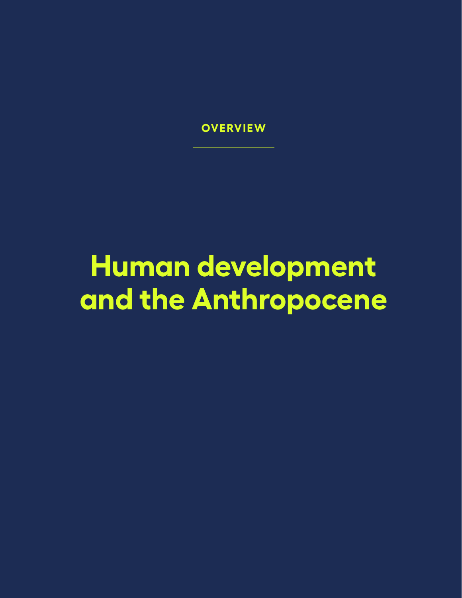**OVERVIEW**

# **Human development and the Anthropocene**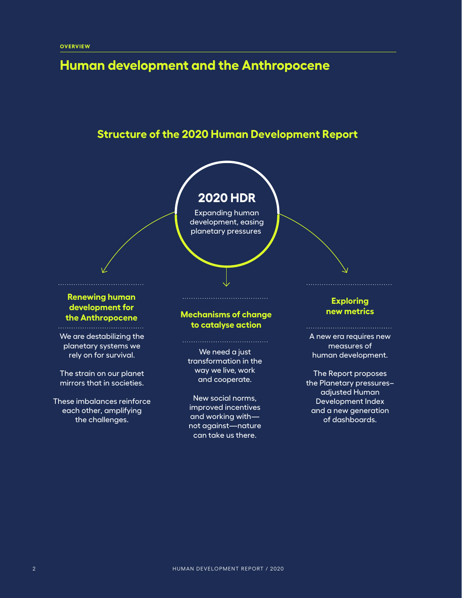# **Human development and the Anthropocene**

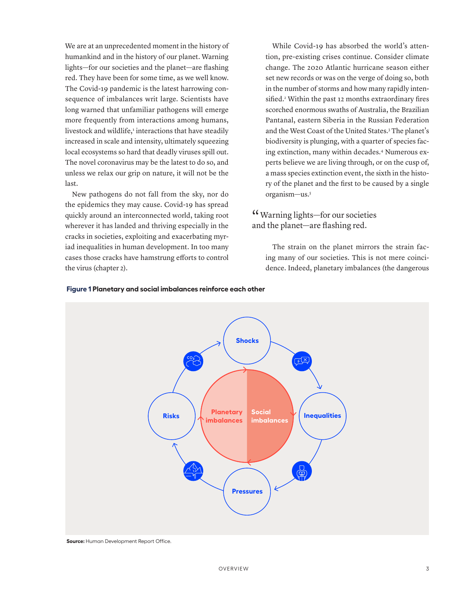<span id="page-14-0"></span>We are at an unprecedented moment in the history of humankind and in the history of our planet. Warning lights—for our societies and the planet—are flashing red. They have been for some time, as we well know. The Covid-19 pandemic is the latest harrowing consequence of imbalances writ large. Scientists have long warned that unfamiliar pathogens will emerge more frequently from interactions among humans, livestock and wildlife,<sup>[1](#page-26-0)</sup> interactions that have steadily increased in scale and intensity, ultimately squeezing local ecosystems so hard that deadly viruses spill out. The novel coronavirus may be the latest to do so, and unless we relax our grip on nature, it will not be the last.

New pathogens do not fall from the sky, nor do the epidemics they may cause. Covid-19 has spread quickly around an interconnected world, taking root wherever it has landed and thriving especially in the cracks in societies, exploiting and exacerbating myriad inequalities in human development. In too many cases those cracks have hamstrung efforts to control the virus (chapter 2).

While Covid-19 has absorbed the world's attention, pre-existing crises continue. Consider climate change. The 2020 Atlantic hurricane season either set new records or was on the verge of doing so, both in the number of storms and how many rapidly inten-sified.<sup>[2](#page-26-0)</sup> Within the past 12 months extraordinary fires scorched enormous swaths of Australia, the Brazilian Pantanal, eastern Siberia in the Russian Federation and the West Coast of the United States.[3](#page-26-0) The planet's biodiversity is plunging, with a quarter of species facing extinction, many within decades.[4](#page-26-0) Numerous experts believe we are living through, or on the cusp of, a mass species extinction event, the sixth in the history of the planet and the first to be caused by a single organism—us[.5](#page-26-0)

# "Warning lights—for our societies and the planet—are flashing red.

The strain on the planet mirrors the strain facing many of our societies. This is not mere coincidence. Indeed, planetary imbalances (the dangerous



## **Figure 1 Planetary and social imbalances reinforce each other**

**Source:** Human Development Report Office.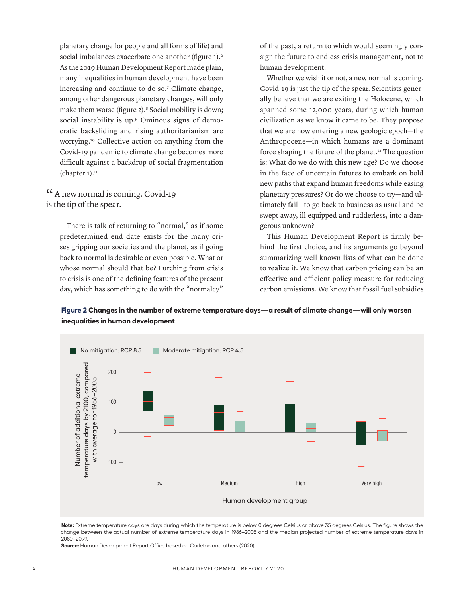<span id="page-15-0"></span>planetary change for people and all forms of life) and social imbalances exacerbate one another (figure 1).<sup>[6](#page-26-0)</sup> As the 2019 Human Development Report made plain, many inequalities in human development have been increasing and continue to do so.[7](#page-26-0) Climate change, among other dangerous planetary changes, will only make them worse (figure 2).<sup>8</sup> Social mobility is down; social instability is up.[9](#page-26-0) Ominous signs of democratic backsliding and rising authoritarianism are worrying.[10](#page-26-0) Collective action on anything from the Covid-19 pandemic to climate change becomes more difficult against a backdrop of social fragmentation  $($ chapter 1 $).$ <sup>[11](#page-26-0)</sup>

# "A new normal is coming. Covid-19 is the tip of the spear.

There is talk of returning to "normal," as if some predetermined end date exists for the many crises gripping our societies and the planet, as if going back to normal is desirable or even possible. What or whose normal should that be? Lurching from crisis to crisis is one of the defining features of the present day, which has something to do with the "normalcy"

of the past, a return to which would seemingly consign the future to endless crisis management, not to human development.

Whether we wish it or not, a new normal is coming. Covid-19 is just the tip of the spear. Scientists generally believe that we are exiting the Holocene, which spanned some 12,000 years, during which human civilization as we know it came to be. They propose that we are now entering a new geologic epoch—the Anthropocene—in which humans are a dominant force shaping the future of the planet.<sup>12</sup> The question is: What do we do with this new age? Do we choose in the face of uncertain futures to embark on bold new paths that expand human freedoms while easing planetary pressures? Or do we choose to try—and ultimately fail—to go back to business as usual and be swept away, ill equipped and rudderless, into a dangerous unknown?

This Human Development Report is firmly behind the first choice, and its arguments go beyond summarizing well known lists of what can be done to realize it. We know that carbon pricing can be an effective and efficient policy measure for reducing carbon emissions. We know that fossil fuel subsidies



**Figure 2 Changes in the number of extreme temperature days—a result of climate change—will only worsen inequalities in human development**

**Note:** Extreme temperature days are days during which the temperature is below 0 degrees Celsius or above 35 degrees Celsius. The figure shows the change between the actual number of extreme temperature days in 1986–2005 and the median projected number of extreme temperature days in 2080–2099.

**Source:** Human Development Report Office based on Carleton and others (2020).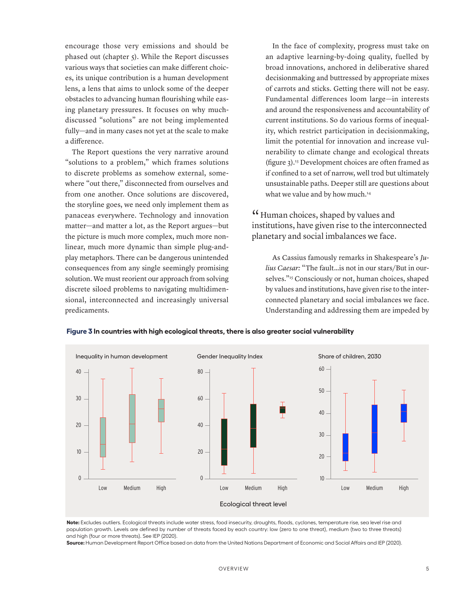<span id="page-16-0"></span>encourage those very emissions and should be phased out (chapter 5). While the Report discusses various ways that societies can make different choices, its unique contribution is a human development lens, a lens that aims to unlock some of the deeper obstacles to advancing human flourishing while easing planetary pressures. It focuses on why muchdiscussed "solutions" are not being implemented fully—and in many cases not yet at the scale to make a difference.

The Report questions the very narrative around "solutions to a problem," which frames solutions to discrete problems as somehow external, somewhere "out there," disconnected from ourselves and from one another. Once solutions are discovered, the storyline goes, we need only implement them as panaceas everywhere. Technology and innovation matter—and matter a lot, as the Report argues—but the picture is much more complex, much more nonlinear, much more dynamic than simple plug-andplay metaphors. There can be dangerous unintended consequences from any single seemingly promising solution. We must reorient our approach from solving discrete siloed problems to navigating multidimensional, interconnected and increasingly universal predicaments.

In the face of complexity, progress must take on an adaptive learning-by-doing quality, fuelled by broad innovations, anchored in deliberative shared decisionmaking and buttressed by appropriate mixes of carrots and sticks. Getting there will not be easy. Fundamental differences loom large—in interests and around the responsiveness and accountability of current institutions. So do various forms of inequality, which restrict participation in decisionmaking, limit the potential for innovation and increase vulnerability to climate change and ecological threats (figure 3)[.13](#page-26-0) Development choices are often framed as if confined to a set of narrow, well trod but ultimately unsustainable paths. Deeper still are questions about what we value and by how much.<sup>14</sup>

"Human choices, shaped by values and institutions, have given rise to the interconnected planetary and social imbalances we face.

As Cassius famously remarks in Shakespeare's *Julius Caesar:* "The fault…is not in our stars/But in our-selves."<sup>[15](#page-26-0)</sup> Consciously or not, human choices, shaped by values and institutions, have given rise to the interconnected planetary and social imbalances we face. Understanding and addressing them are impeded by



**Figure 3 In countries with high ecological threats, there is also greater social vulnerability**

**Note:** Excludes outliers. Ecological threats include water stress, food insecurity, droughts, floods, cyclones, temperature rise, sea level rise and population growth. Levels are defined by number of threats faced by each country: low (zero to one threat), medium (two to three threats) and high (four or more threats). See IEP (2020).

**Source:** Human Development Report Office based on data from the United Nations Department of Economic and Social Affairs and IEP (2020).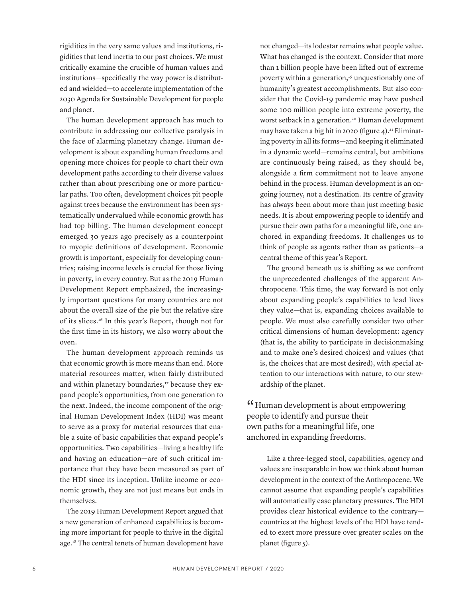<span id="page-17-0"></span>rigidities in the very same values and institutions, rigidities that lend inertia to our past choices. We must critically examine the crucible of human values and institutions—specifically the way power is distributed and wielded—to accelerate implementation of the 2030 Agenda for Sustainable Development for people and planet.

The human development approach has much to contribute in addressing our collective paralysis in the face of alarming planetary change. Human development is about expanding human freedoms and opening more choices for people to chart their own development paths according to their diverse values rather than about prescribing one or more particular paths. Too often, development choices pit people against trees because the environment has been systematically undervalued while economic growth has had top billing. The human development concept emerged 30 years ago precisely as a counterpoint to myopic definitions of development. Economic growth is important, especially for developing countries; raising income levels is crucial for those living in poverty, in every country. But as the 2019 Human Development Report emphasized, the increasingly important questions for many countries are not about the overall size of the pie but the relative size of its slices[.16](#page-26-0) In this year's Report, though not for the first time in its history, we also worry about the oven.

The human development approach reminds us that economic growth is more means than end. More material resources matter, when fairly distributed and within planetary boundaries,<sup>17</sup> because they expand people's opportunities, from one generation to the next. Indeed, the income component of the original Human Development Index (HDI) was meant to serve as a proxy for material resources that enable a suite of basic capabilities that expand people's opportunities. Two capabilities—living a healthy life and having an education—are of such critical importance that they have been measured as part of the HDI since its inception. Unlike income or economic growth, they are not just means but ends in themselves.

The 2019 Human Development Report argued that a new generation of enhanced capabilities is becoming more important for people to thrive in the digital age.[18](#page-26-0) The central tenets of human development have

not changed—its lodestar remains what people value. What has changed is the context. Consider that more than 1 billion people have been lifted out of extreme poverty within a generation,<sup>[19](#page-26-0)</sup> unquestionably one of humanity's greatest accomplishments. But also consider that the Covid-19 pandemic may have pushed some 100 million people into extreme poverty, the worst setback in a generation.<sup>20</sup> Human development may have taken a big hit in 2020 (figure  $4$ ).<sup>21</sup> Eliminating poverty in all its forms—and keeping it eliminated in a dynamic world—remains central, but ambitions are continuously being raised, as they should be, alongside a firm commitment not to leave anyone behind in the process. Human development is an ongoing journey, not a destination. Its centre of gravity has always been about more than just meeting basic needs. It is about empowering people to identify and pursue their own paths for a meaningful life, one anchored in expanding freedoms. It challenges us to think of people as agents rather than as patients—a central theme of this year's Report.

The ground beneath us is shifting as we confront the unprecedented challenges of the apparent Anthropocene. This time, the way forward is not only about expanding people's capabilities to lead lives they value—that is, expanding choices available to people. We must also carefully consider two other critical dimensions of human development: agency (that is, the ability to participate in decisionmaking and to make one's desired choices) and values (that is, the choices that are most desired), with special attention to our interactions with nature, to our stewardship of the planet.

"Human development is about empowering people to identify and pursue their own paths for a meaningful life, one anchored in expanding freedoms.

Like a three-legged stool, capabilities, agency and values are inseparable in how we think about human development in the context of the Anthropocene. We cannot assume that expanding people's capabilities will automatically ease planetary pressures. The HDI provides clear historical evidence to the contrary countries at the highest levels of the HDI have tended to exert more pressure over greater scales on the planet (figure 5).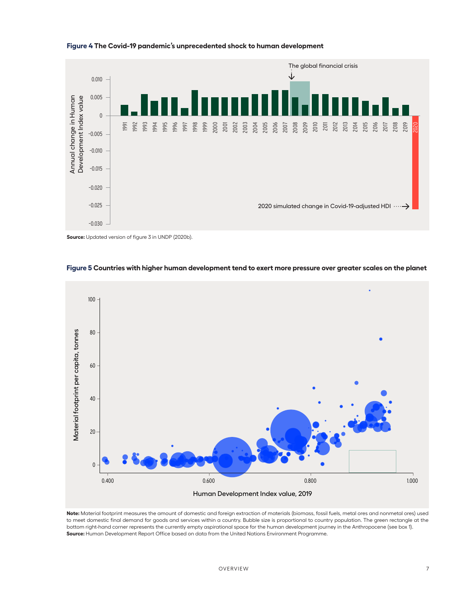

# **Figure 4 The Covid-19 pandemic's unprecedented shock to human development**

**Source:** Updated version of figure 3 in UNDP (2020b).



**Figure 5 Countries with higher human development tend to exert more pressure over greater scales on the planet**

**Note:** Material footprint measures the amount of domestic and foreign extraction of materials (biomass, fossil fuels, metal ores and nonmetal ores) used to meet domestic final demand for goods and services within a country. Bubble size is proportional to country population. The green rectangle at the bottom right-hand corner represents the currently empty aspirational space for the human development journey in the Anthropocene (see box 1). **Source:** Human Development Report Office based on data from the United Nations Environment Programme.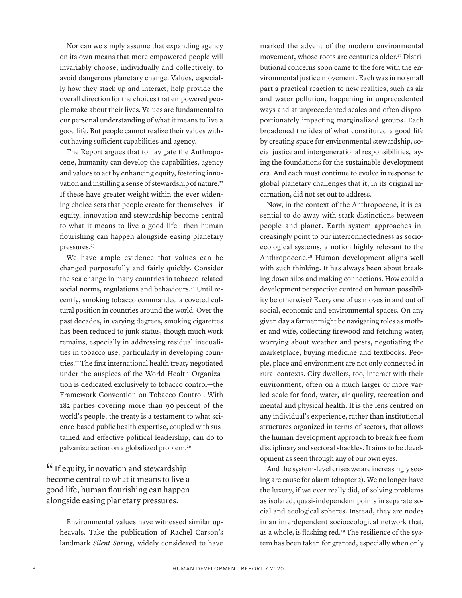<span id="page-19-0"></span>Nor can we simply assume that expanding agency on its own means that more empowered people will invariably choose, individually and collectively, to avoid dangerous planetary change. Values, especially how they stack up and interact, help provide the overall direction for the choices that empowered people make about their lives. Values are fundamental to our personal understanding of what it means to live a good life. But people cannot realize their values without having sufficient capabilities and agency.

The Report argues that to navigate the Anthropocene, humanity can develop the capabilities, agency and values to act by enhancing equity, fostering inno-vation and instilling a sense of stewardship of nature.<sup>[22](#page-26-0)</sup> If these have greater weight within the ever widening choice sets that people create for themselves—if equity, innovation and stewardship become central to what it means to live a good life—then human flourishing can happen alongside easing planetary pressures.<sup>23</sup>

We have ample evidence that values can be changed purposefully and fairly quickly. Consider the sea change in many countries in tobacco-related social norms, regulations and behaviours.<sup>[24](#page-26-0)</sup> Until recently, smoking tobacco commanded a coveted cultural position in countries around the world. Over the past decades, in varying degrees, smoking cigarettes has been reduced to junk status, though much work remains, especially in addressing residual inequalities in tobacco use, particularly in developing countries.[25](#page-26-0) The first international health treaty negotiated under the auspices of the World Health Organization is dedicated exclusively to tobacco control—the Framework Convention on Tobacco Control. With 182 parties covering more than 90 percent of the world's people, the treaty is a testament to what science-based public health expertise, coupled with sustained and effective political leadership, can do to galvanize action on a globalized problem.[26](#page-26-0)

 $\mathcal{U}$  If equity, innovation and stewardship become central to what it means to live a good life, human flourishing can happen alongside easing planetary pressures.

Environmental values have witnessed similar upheavals. Take the publication of Rachel Carson's landmark *Silent Spring,* widely considered to have

marked the advent of the modern environmental movement, whose roots are centuries older.<sup>27</sup> Distributional concerns soon came to the fore with the environmental justice movement. Each was in no small part a practical reaction to new realities, such as air and water pollution, happening in unprecedented ways and at unprecedented scales and often disproportionately impacting marginalized groups. Each broadened the idea of what constituted a good life by creating space for environmental stewardship, social justice and intergenerational responsibilities, laying the foundations for the sustainable development era. And each must continue to evolve in response to global planetary challenges that it, in its original incarnation, did not set out to address.

Now, in the context of the Anthropocene, it is essential to do away with stark distinctions between people and planet. Earth system approaches increasingly point to our interconnectedness as socioecological systems, a notion highly relevant to the Anthropocene[.28](#page-26-0) Human development aligns well with such thinking. It has always been about breaking down silos and making connections. How could a development perspective centred on human possibility be otherwise? Every one of us moves in and out of social, economic and environmental spaces. On any given day a farmer might be navigating roles as mother and wife, collecting firewood and fetching water, worrying about weather and pests, negotiating the marketplace, buying medicine and textbooks. People, place and environment are not only connected in rural contexts. City dwellers, too, interact with their environment, often on a much larger or more varied scale for food, water, air quality, recreation and mental and physical health. It is the lens centred on any individual's experience, rather than institutional structures organized in terms of sectors, that allows the human development approach to break free from disciplinary and sectoral shackles. It aims to be development as seen through any of our own eyes.

And the system-level crises we are increasingly seeing are cause for alarm (chapter 2). We no longer have the luxury, if we ever really did, of solving problems as isolated, quasi-independent points in separate social and ecological spheres. Instead, they are nodes in an interdependent socioecological network that, as a whole, is flashing red.<sup>[29](#page-26-0)</sup> The resilience of the system has been taken for granted, especially when only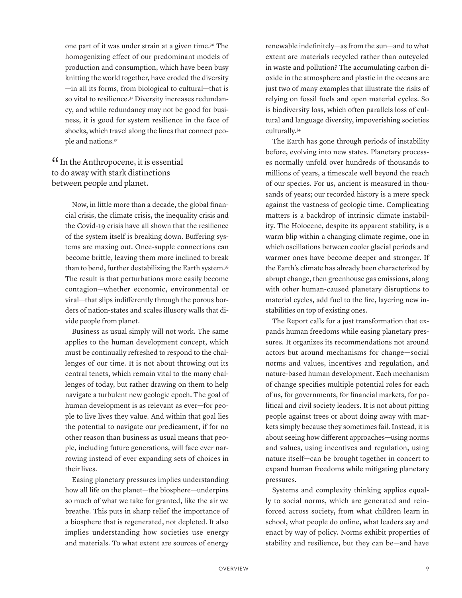<span id="page-20-0"></span>one part of it was under strain at a given time[.30](#page-26-0) The homogenizing effect of our predominant models of production and consumption, which have been busy knitting the world together, have eroded the diversity —in all its forms, from biological to cultural—that is so vital to resilience.<sup>[31](#page-26-0)</sup> Diversity increases redundancy, and while redundancy may not be good for business, it is good for system resilience in the face of shocks, which travel along the lines that connect people and nations.<sup>32</sup>

 $\mathcal{C}$  In the Anthropocene, it is essential to do away with stark distinctions between people and planet.

> Now, in little more than a decade, the global financial crisis, the climate crisis, the inequality crisis and the Covid-19 crisis have all shown that the resilience of the system itself is breaking down. Buffering systems are maxing out. Once-supple connections can become brittle, leaving them more inclined to break than to bend, further destabilizing the Earth system.<sup>33</sup> The result is that perturbations more easily become contagion—whether economic, environmental or viral—that slips indifferently through the porous borders of nation-states and scales illusory walls that divide people from planet.

> Business as usual simply will not work. The same applies to the human development concept, which must be continually refreshed to respond to the challenges of our time. It is not about throwing out its central tenets, which remain vital to the many challenges of today, but rather drawing on them to help navigate a turbulent new geologic epoch. The goal of human development is as relevant as ever—for people to live lives they value. And within that goal lies the potential to navigate our predicament, if for no other reason than business as usual means that people, including future generations, will face ever narrowing instead of ever expanding sets of choices in their lives.

> Easing planetary pressures implies understanding how all life on the planet—the biosphere—underpins so much of what we take for granted, like the air we breathe. This puts in sharp relief the importance of a biosphere that is regenerated, not depleted. It also implies understanding how societies use energy and materials. To what extent are sources of energy

renewable indefinitely—as from the sun—and to what extent are materials recycled rather than outcycled in waste and pollution? The accumulating carbon dioxide in the atmosphere and plastic in the oceans are just two of many examples that illustrate the risks of relying on fossil fuels and open material cycles. So is biodiversity loss, which often parallels loss of cultural and language diversity, impoverishing societies culturally[.34](#page-26-0)

The Earth has gone through periods of instability before, evolving into new states. Planetary processes normally unfold over hundreds of thousands to millions of years, a timescale well beyond the reach of our species. For us, ancient is measured in thousands of years; our recorded history is a mere speck against the vastness of geologic time. Complicating matters is a backdrop of intrinsic climate instability. The Holocene, despite its apparent stability, is a warm blip within a changing climate regime, one in which oscillations between cooler glacial periods and warmer ones have become deeper and stronger. If the Earth's climate has already been characterized by abrupt change, then greenhouse gas emissions, along with other human-caused planetary disruptions to material cycles, add fuel to the fire, layering new instabilities on top of existing ones.

The Report calls for a just transformation that expands human freedoms while easing planetary pressures. It organizes its recommendations not around actors but around mechanisms for change—social norms and values, incentives and regulation, and nature-based human development. Each mechanism of change specifies multiple potential roles for each of us, for governments, for financial markets, for political and civil society leaders. It is not about pitting people against trees or about doing away with markets simply because they sometimes fail. Instead, it is about seeing how different approaches—using norms and values, using incentives and regulation, using nature itself—can be brought together in concert to expand human freedoms while mitigating planetary pressures.

Systems and complexity thinking applies equally to social norms, which are generated and reinforced across society, from what children learn in school, what people do online, what leaders say and enact by way of policy. Norms exhibit properties of stability and resilience, but they can be—and have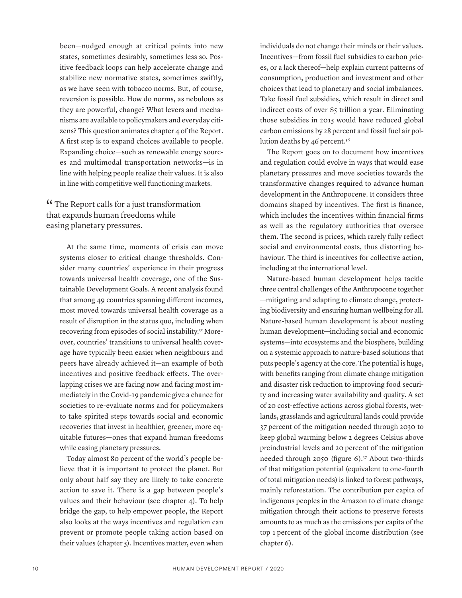<span id="page-21-0"></span>been—nudged enough at critical points into new states, sometimes desirably, sometimes less so. Positive feedback loops can help accelerate change and stabilize new normative states, sometimes swiftly, as we have seen with tobacco norms. But, of course, reversion is possible. How do norms, as nebulous as they are powerful, change? What levers and mechanisms are available to policymakers and everyday citizens? This question animates chapter 4 of the Report. A first step is to expand choices available to people. Expanding choice—such as renewable energy sources and multimodal transportation networks—is in line with helping people realize their values. It is also in line with competitive well functioning markets.

# "The Report calls for a just transformation that expands human freedoms while easing planetary pressures.

At the same time, moments of crisis can move systems closer to critical change thresholds. Consider many countries' experience in their progress towards universal health coverage, one of the Sustainable Development Goals. A recent analysis found that among 49 countries spanning different incomes, most moved towards universal health coverage as a result of disruption in the status quo, including when recovering from episodes of social instability.[35](#page-26-0) Moreover, countries' transitions to universal health coverage have typically been easier when neighbours and peers have already achieved it—an example of both incentives and positive feedback effects. The overlapping crises we are facing now and facing most immediately in the Covid-19 pandemic give a chance for societies to re-evaluate norms and for policymakers to take spirited steps towards social and economic recoveries that invest in healthier, greener, more equitable futures—ones that expand human freedoms while easing planetary pressures.

Today almost 80 percent of the world's people believe that it is important to protect the planet. But only about half say they are likely to take concrete action to save it. There is a gap between people's values and their behaviour (see chapter 4). To help bridge the gap, to help empower people, the Report also looks at the ways incentives and regulation can prevent or promote people taking action based on their values (chapter 5). Incentives matter, even when individuals do not change their minds or their values. Incentives—from fossil fuel subsidies to carbon prices, or a lack thereof—help explain current patterns of consumption, production and investment and other choices that lead to planetary and social imbalances. Take fossil fuel subsidies, which result in direct and indirect costs of over \$5 trillion a year. Eliminating those subsidies in 2015 would have reduced global carbon emissions by 28 percent and fossil fuel air pollution deaths by 46 percent[.36](#page-26-0)

The Report goes on to document how incentives and regulation could evolve in ways that would ease planetary pressures and move societies towards the transformative changes required to advance human development in the Anthropocene. It considers three domains shaped by incentives. The first is finance, which includes the incentives within financial firms as well as the regulatory authorities that oversee them. The second is prices, which rarely fully reflect social and environmental costs, thus distorting behaviour. The third is incentives for collective action, including at the international level.

Nature-based human development helps tackle three central challenges of the Anthropocene together —mitigating and adapting to climate change, protecting biodiversity and ensuring human wellbeing for all. Nature-based human development is about nesting human development—including social and economic systems—into ecosystems and the biosphere, building on a systemic approach to nature-based solutions that puts people's agency at the core. The potential is huge, with benefits ranging from climate change mitigation and disaster risk reduction to improving food security and increasing water availability and quality. A set of 20 cost-effective actions across global forests, wetlands, grasslands and agricultural lands could provide 37 percent of the mitigation needed through 2030 to keep global warming below 2 degrees Celsius above preindustrial levels and 20 percent of the mitigation needed through 2050 (figure 6)[.37](#page-26-0) About two-thirds of that mitigation potential (equivalent to one-fourth of total mitigation needs) is linked to forest pathways, mainly reforestation. The contribution per capita of indigenous peoples in the Amazon to climate change mitigation through their actions to preserve forests amounts to as much as the emissions per capita of the top 1 percent of the global income distribution (see chapter 6).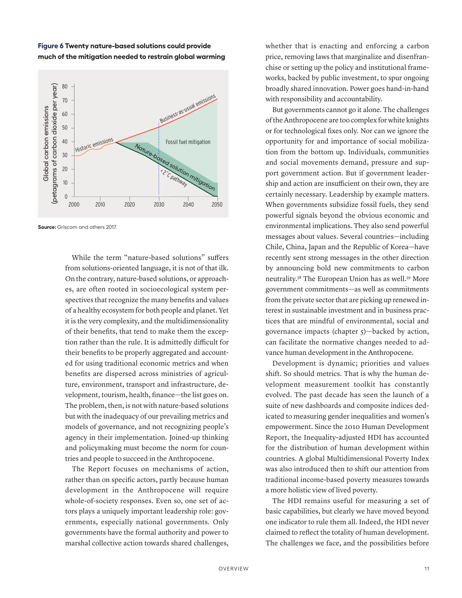<span id="page-22-0"></span>



While the term "nature-based solutions" suffers from solutions-oriented language, it is not of that ilk. On the contrary, nature-based solutions, or approaches, are often rooted in socioecological system perspectives that recognize the many benefits and values of a healthy ecosystem for both people and planet. Yet it is the very complexity, and the multidimensionality of their benefits, that tend to make them the exception rather than the rule. It is admittedly difficult for their benefits to be properly aggregated and accounted for using traditional economic metrics and when benefits are dispersed across ministries of agriculture, environment, transport and infrastructure, development, tourism, health, finance—the list goes on. The problem, then, is not with nature-based solutions but with the inadequacy of our prevailing metrics and models of governance, and not recognizing people's agency in their implementation. Joined-up thinking and policymaking must become the norm for countries and people to succeed in the Anthropocene.

The Report focuses on mechanisms of action, rather than on specific actors, partly because human development in the Anthropocene will require whole-of-society responses. Even so, one set of actors plays a uniquely important leadership role: governments, especially national governments. Only governments have the formal authority and power to marshal collective action towards shared challenges, whether that is enacting and enforcing a carbon price, removing laws that marginalize and disenfranchise or setting up the policy and institutional frameworks, backed by public investment, to spur ongoing broadly shared innovation. Power goes hand-in-hand with responsibility and accountability.

But governments cannot go it alone. The challenges of the Anthropocene are too complex for white knights or for technological fixes only. Nor can we ignore the opportunity for and importance of social mobilization from the bottom up. Individuals, communities and social movements demand, pressure and support government action. But if government leadership and action are insufficient on their own, they are certainly necessary. Leadership by example matters. When governments subsidize fossil fuels, they send powerful signals beyond the obvious economic and environmental implications. They also send powerful messages about values. Several countries—including Chile, China, Japan and the Republic of Korea—have recently sent strong messages in the other direction by announcing bold new commitments to carbon neutrality[.38](#page-26-0) The European Union has as well.[39](#page-26-0) More government commitments—as well as commitments from the private sector that are picking up renewed interest in sustainable investment and in business practices that are mindful of environmental, social and governance impacts (chapter 5)—backed by action, can facilitate the normative changes needed to advance human development in the Anthropocene.

Development is dynamic; priorities and values shift. So should metrics. That is why the human development measurement toolkit has constantly evolved. The past decade has seen the launch of a suite of new dashboards and composite indices dedicated to measuring gender inequalities and women's empowerment. Since the 2010 Human Development Report, the Inequality-adjusted HDI has accounted for the distribution of human development within countries. A global Multidimensional Poverty Index was also introduced then to shift our attention from traditional income-based poverty measures towards a more holistic view of lived poverty.

The HDI remains useful for measuring a set of basic capabilities, but clearly we have moved beyond one indicator to rule them all. Indeed, the HDI never claimed to reflect the totality of human development. The challenges we face, and the possibilities before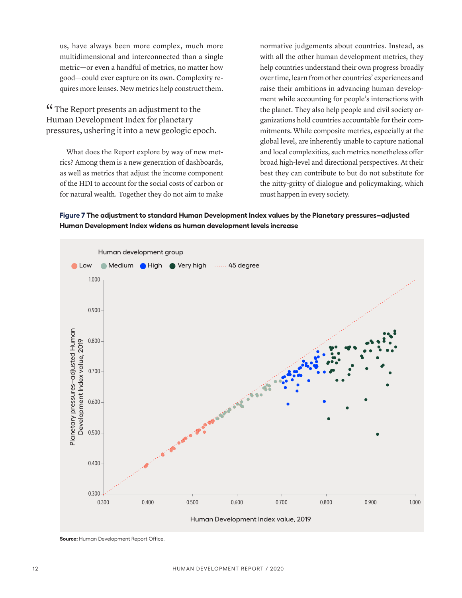us, have always been more complex, much more multidimensional and interconnected than a single metric—or even a handful of metrics, no matter how good—could ever capture on its own. Complexity requires more lenses. New metrics help construct them.

"The Report presents an adjustment to the Human Development Index for planetary pressures, ushering it into a new geologic epoch.

What does the Report explore by way of new metrics? Among them is a new generation of dashboards, as well as metrics that adjust the income component of the HDI to account for the social costs of carbon or for natural wealth. Together they do not aim to make

normative judgements about countries. Instead, as with all the other human development metrics, they help countries understand their own progress broadly over time, learn from other countries' experiences and raise their ambitions in advancing human development while accounting for people's interactions with the planet. They also help people and civil society organizations hold countries accountable for their commitments. While composite metrics, especially at the global level, are inherently unable to capture national and local complexities, such metrics nonetheless offer broad high-level and directional perspectives. At their best they can contribute to but do not substitute for the nitty-gritty of dialogue and policymaking, which must happen in every society.

**Figure 7 The adjustment to standard Human Development Index values by the Planetary pressures–adjusted Human Development Index widens as human development levels increase**



**Source:** Human Development Report Office.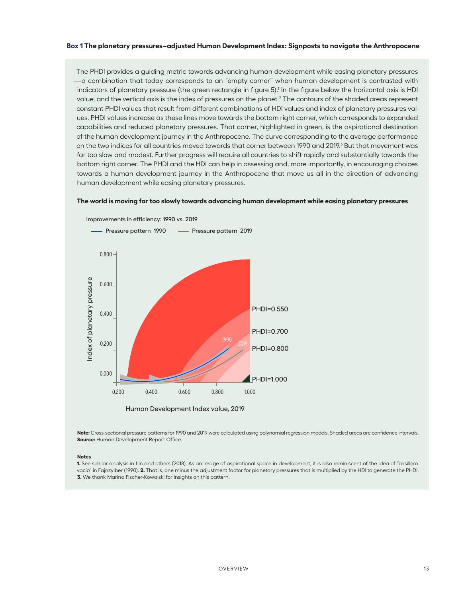## **Box 1 The planetary pressures–adjusted Human Development Index: Signposts to navigate the Anthropocene**

The PHDI provides a guiding metric towards advancing human development while easing planetary pressures —a combination that today corresponds to an "empty corner" when human development is contrasted with indicators of planetary pressure (the green rectangle in figure 5).<sup>1</sup> In the figure below the horizontal axis is HDI value, and the vertical axis is the index of pressures on the planet. $^2$  The contours of the shaded areas represent constant PHDI values that result from different combinations of HDI values and index of planetary pressures values. PHDI values increase as these lines move towards the bottom right corner, which corresponds to expanded capabilities and reduced planetary pressures. That corner, highlighted in green, is the aspirational destination of the human development journey in the Anthropocene. The curve corresponding to the average performance on the two indices for all countries moved towards that corner between 1990 and 2019.<sup>3</sup> But that movement was far too slow and modest. Further progress will require all countries to shift rapidly and substantially towards the bottom right corner. The PHDI and the HDI can help in assessing and, more importantly, in encouraging choices towards a human development journey in the Anthropocene that move us all in the direction of advancing human development while easing planetary pressures.

#### **The world is moving far too slowly towards advancing human development while easing planetary pressures**



Improvements in efficiency: 1990 vs. 2019

**Note:** Cross-sectional pressure patterns for 1990 and 2019 were calculated using polynomial regression models. Shaded areas are confidence intervals. **Source:** Human Development Report Office.

#### **Notes**

**1.** See similar analysis in Lin and others (2018). As an image of aspirational space in development, it is also reminiscent of the idea of "casillero vacío" in Fajnzylber (1990). **2.** That is, one minus the adjustment factor for planetary pressures that is multiplied by the HDI to generate the PHDI. **3.** We thank Marina Fischer-Kowalski for insights on this pattern.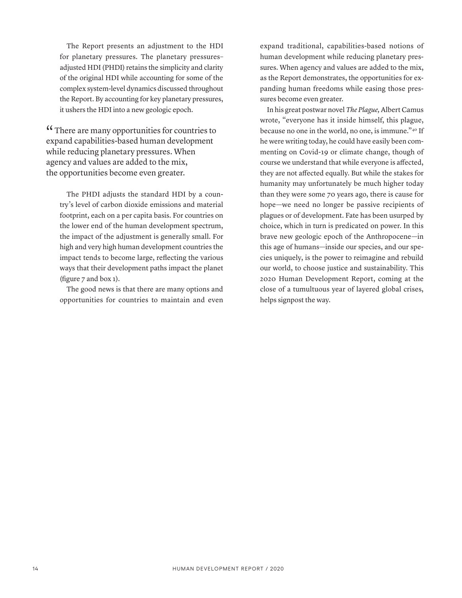<span id="page-25-0"></span>The Report presents an adjustment to the HDI for planetary pressures. The planetary pressures– adjusted HDI (PHDI) retains the simplicity and clarity of the original HDI while accounting for some of the complex system-level dynamics discussed throughout the Report. By accounting for key planetary pressures, it ushers the HDI into a new geologic epoch.

"There are many opportunities for countries to expand capabilities-based human development while reducing planetary pressures. When agency and values are added to the mix, the opportunities become even greater.

The PHDI adjusts the standard HDI by a country's level of carbon dioxide emissions and material footprint, each on a per capita basis. For countries on the lower end of the human development spectrum, the impact of the adjustment is generally small. For high and very high human development countries the impact tends to become large, reflecting the various ways that their development paths impact the planet (figure 7 and box 1).

The good news is that there are many options and opportunities for countries to maintain and even expand traditional, capabilities-based notions of human development while reducing planetary pressures. When agency and values are added to the mix, as the Report demonstrates, the opportunities for expanding human freedoms while easing those pressures become even greater.

In his great postwar novel *The Plague,* Albert Camus wrote, "everyone has it inside himself, this plague, because no one in the world, no one, is immune.["40](#page-26-0) If he were writing today, he could have easily been commenting on Covid-19 or climate change, though of course we understand that while everyone is affected, they are not affected equally. But while the stakes for humanity may unfortunately be much higher today than they were some 70 years ago, there is cause for hope—we need no longer be passive recipients of plagues or of development. Fate has been usurped by choice, which in turn is predicated on power. In this brave new geologic epoch of the Anthropocene—in this age of humans—inside our species, and our species uniquely, is the power to reimagine and rebuild our world, to choose justice and sustainability. This 2020 Human Development Report, coming at the close of a tumultuous year of layered global crises, helps signpost the way.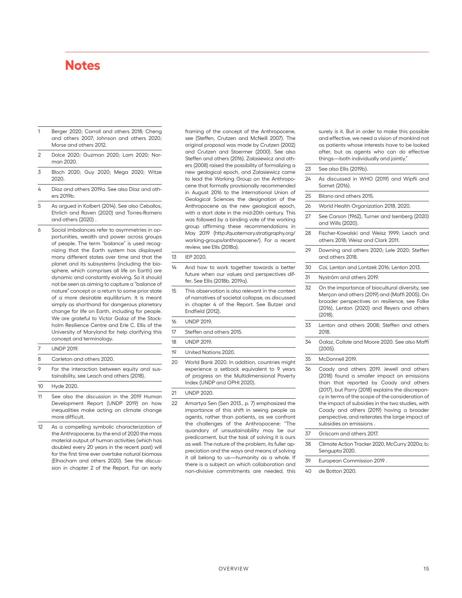# <span id="page-26-0"></span>**Notes**

- Berger 2020; Carroll and others 20[1](#page-14-0)8; Cheng and others 2007; Johnson and others 2020; Morse and others 2012.
- Dolce [2](#page-14-0)020; Guzman 2020; Lam 2020; Norman 2020.
- [3](#page-14-0) Bloch 2020; Guy 2020; Mega 2020; Witze 2020.
- [4](#page-14-0) Díaz and others 2019a. See also Díaz and oth‑ ers 2019b.
- [5](#page-14-0) As argued in Kolbert (2014). See also Ceballos, Ehrlich and Raven (2020) and Torres-Romero and others (2020)
- [6](#page-15-0) Social imbalances refer to asymmetries in op‑ portunities, wealth and power across groups of people. The term "balance" is used recognizing that the Earth system has displayed many different states over time and that the planet and its subsystems (including the biosphere, which comprises all life on Earth) are dynamic and constantly evolving. So it should not be seen as aiming to capture a "balance of nature" concept or a return to some prior state of a more desirable equilibrium. It is meant simply as shorthand for dangerous planetary change for life on Earth, including for people. We are grateful to Victor Galaz of the Stockholm Resilience Centre and Erle C. Ellis of the University of Maryland for help clarifying this concept and terminology.
- **UNDP 2019**
- [8](#page-15-0) Carleton and others 2020.
- [9](#page-15-0) For the interaction between equity and sus‑ tainability, see Leach and others (2018).
- [10](#page-15-0) Hyde 2020.
- [11](#page-15-0) See also the discussion in the 2019 Human Development Report (UNDP 2019) on how inequalities make acting on climate change more difficult.
- [12](#page-15-0) As a compelling symbolic characterization of the Anthropocene, by the end of 2020 the mass material output of human activities (which has doubled every 20 years in the recent past) will for the first time ever overtake natural biomass (Elhacham and others 2020). See the discus‑ sion in chapter 2 of the Report. For an early

framing of the concept of the Anthropocene, see (Steffen, Crutzen and McNeill 2007). The original proposal was made by Crutzen (2002) and Crutzen and Stoermer (2000). See also Steffen and others (2016). Zalasiewicz and others (2008) raised the possibility of formalizing a new geological epoch, and Zalasiewicz came to lead the Working Group on the Anthropocene that formally provisionally recommended in August 2016 to the International Union of Geological Sciences the designation of the Anthropocene as the new geological epoch, with a start date in the mid-20th century. This was followed by a binding vote of the working group affirming these recommendations in May 2019 ([http://quaternary.stratigraphy.org/](http://quaternary.stratigraphy.org/working-groups/anthropocene/) [working-groups/anthropocene/](http://quaternary.stratigraphy.org/working-groups/anthropocene/)). For a recent review, see Ellis (2018a).

- [13](#page-16-0) IEP 2020.
- [14](#page-16-0) And how to work together towards a better future when our values and perspectives dif‑ fer. See Ellis (2018b, 2019a).
- [15](#page-16-0) This observation is also relevant in the context of narratives of societal collapse, as discussed in chapter 4 of the Report. See Butzer and Endfield (2012).
- [16](#page-17-0) UNDP 2019.
- [17](#page-17-0) Steffen and others 2015.
- [18](#page-17-0) UNDP 2019.
- [19](#page-17-0) United Nations 2020.
- [20](#page-17-0) World Bank 2020. In addition, countries might experience a setback equivalent to 9 years of progress on the Multidimensional Poverty Index (UNDP and OPHI 2020).
- [21](#page-17-0) UNDP 2020.
- [22](#page-19-0) Amartya Sen (Sen 2013., p. 7) emphasized the importance of this shift in seeing people as agents, rather than patients, as we confront the challenges of the Anthropocene: "The quandary of unsustainability may be our predicament, but the task of solving it is ours as well. The nature of the problem, its fuller appreciation and the ways and means of solving it all belong to us—humanity as a whole. If there is a subject on which collaboration and non-divisive commitments are needed, this

surely is it. But in order to make this possible and effective, we need a vision of mankind not as patients whose interests have to be looked after, but as agents who can do effective things—both individually and jointly."

- [23](#page-19-0) See also Ellis (2019b).
- [24](#page-19-0) As discussed in WHO (2019) and Wipfli and Samet (2016).
- [25](#page-19-0) Bilano and others 2015.
- [26](#page-19-0) World Health Organization 2018, 2020.
- [27](#page-19-0) See Carson (1962), Turner and Isenberg (2020) and Wills (2020).
- [28](#page-19-0) Fischer-Kowalski and Weisz 1999; Leach and others 2018; Weisz and Clark 2011.
- [29](#page-19-0) Downing and others 2020; Lele 2020; Steffen and others 2018.
- [30](#page-20-0) Cai, Lenton and Lontzek 2016; Lenton 2013.
- [31](#page-20-0) Nyström and others 2019.
- [32](#page-20-0) On the importance of biocultural diversity, see Merçon and others (2019) and (Maffi 2005). On broader perspectives on resilience, see Folke (2016), Lenton (2020) and Reyers and others  $(2018)$
- [33](#page-20-0) Lenton and others 2008; Steffen and others 2018.
- [34](#page-20-0) Galaz, Collste and Moore 2020. See also Maffi (2005).
- [35](#page-21-0) McDonnell 2019.
- [36](#page-21-0) Coady and others 2019. Jewell and others (2018) found a smaller impact on emissions than that reported by Coady and others (2017), but Parry (2018) explains the discrepancy in terms of the scope of the consideration of the impact of subsidies in the two studies, with Coady and others (2019) having a broader perspective, and reiterates the large impact of subsidies on emissions .
- [37](#page-21-0) Griscom and others 2017.
- [38](#page-22-0) Climate Action Tracker 2020, McCurry 2020a, b; Sengupta 2020.
- [39](#page-22-0) European Commission 2019 .
- [40](#page-25-0) de Botton 2020.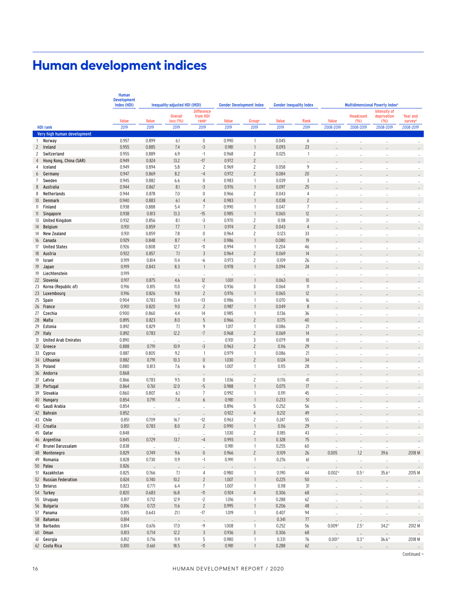# **Human development indices**

|                |                             | Human<br><b>Development</b> | Inequality-adjusted HDI (IHDI) |                            |                                 | <b>Gender Development Index</b> |                                  |                |                                |                        |                      |                                                             |                                 |
|----------------|-----------------------------|-----------------------------|--------------------------------|----------------------------|---------------------------------|---------------------------------|----------------------------------|----------------|--------------------------------|------------------------|----------------------|-------------------------------------------------------------|---------------------------------|
|                |                             | Index (HDI)                 |                                |                            | <b>Difference</b>               |                                 |                                  |                | <b>Gender Inequality Index</b> |                        |                      | Multidimensional Poverty Index <sup>ª</sup><br>Intensity of |                                 |
|                |                             | Value                       | Value                          | <b>Overall</b><br>loss (%) | from HDI<br>rank <sup>b</sup>   | Value                           | <b>Group</b>                     | Value          | Rank                           | Value                  | Headcount<br>(%)     | deprivation<br>(%)                                          | Year and<br>survey <sup>d</sup> |
|                | <b>HDI</b> rank             | 2019                        | 2019                           | 2019                       | 2019                            | 2019                            | 2019                             | 2019           | 2019                           | 2008-2019              | 2008-2019            | 2008-2019                                                   | 2008-2019                       |
|                | Very high human development |                             |                                |                            |                                 |                                 |                                  |                |                                |                        |                      |                                                             |                                 |
|                | 1 Norway                    | 0.957                       | 0.899                          | 6.1                        | $\mathbb O$                     | 0.990                           | $\overline{1}$                   | 0.045          | 6                              |                        |                      |                                                             |                                 |
|                | 2 Ireland                   | 0.955                       | 0.885                          | 7.4                        | $-3$                            | 0.981                           | $\mathbf{1}$                     | 0.093          | 23                             |                        |                      |                                                             |                                 |
| $\mathbf{2}$   | Switzerland                 | 0.955                       | 0.889                          | 6.9                        | $-1$                            | 0.968                           | $\overline{c}$                   | 0.025          | $\overline{1}$                 |                        |                      |                                                             |                                 |
| 4              | Hong Kong, China (SAR)      | 0.949                       | 0.824                          | 13.2                       | $-17$                           | 0.972                           | $\overline{c}$                   |                | $\ddot{\phantom{0}}$           |                        |                      |                                                             |                                 |
| 4              | Iceland                     | 0.949<br>0.947              | 0.894<br>0.869                 | 5.8<br>8.2                 | $\overline{c}$<br>$-4$          | 0.969<br>0.972                  | $\overline{c}$<br>$\overline{c}$ | 0.058<br>0.084 | 9<br>20                        |                        |                      |                                                             |                                 |
| $\overline{1}$ | 6 Germany<br>Sweden         | 0.945                       | 0.882                          | 6.6                        | $\mathbf 0$                     | 0.983                           | -1                               | 0.039          | $\mathbf{3}$                   |                        |                      |                                                             |                                 |
| 8              | Australia                   | 0.944                       | 0.867                          | 8.1                        | $-3$                            | 0.976                           | $\mathbf{1}$                     | 0.097          | 25                             |                        |                      |                                                             |                                 |
| 8              | Netherlands                 | 0.944                       | 0.878                          | 7.0                        | $\mathbf 0$                     | 0.966                           | $\overline{c}$                   | 0.043          | $\overline{4}$                 | $\ddot{\phantom{a}}$   | $\ddot{\phantom{a}}$ | $\ddot{\phantom{a}}$                                        | $\ddot{\phantom{a}}$            |
| 10             | Denmark                     | 0.940                       | 0.883                          | 6.1                        | $\overline{4}$                  | 0.983                           | $\mathbf{1}$                     | 0.038          | $\overline{c}$                 |                        |                      |                                                             |                                 |
|                | 11 Finland                  | 0.938                       | 0.888                          | 5.4                        | $\overline{1}$                  | 0.990                           | -1                               | 0.047          | 7                              | $\ddot{\phantom{0}}$   | $\ddot{\phantom{a}}$ |                                                             |                                 |
|                | 11 Singapore                | 0.938                       | 0.813                          | 13.3                       | $-15$                           | 0.985                           | $\mathbf{1}$                     | 0.065          | 12                             |                        |                      |                                                             |                                 |
| 13             | United Kingdom              | 0.932                       | 0.856                          | 8.1                        | $-3$                            | 0.970                           | $\overline{c}$                   | 0.118          | 31                             | $\ddot{\phantom{0}}$   | $\cdots$             |                                                             |                                 |
| 14             | Belgium                     | 0.931                       | 0.859                          | 7.7                        | $\overline{1}$                  | 0.974                           | $\overline{c}$                   | 0.043          | $\overline{4}$                 |                        |                      |                                                             |                                 |
| 14             | New Zealand                 | 0.931                       | 0.859                          | 7.8                        | $\mathbf 0$                     | 0.964                           | $\overline{c}$                   | 0.123          | 33                             |                        |                      |                                                             |                                 |
| 16             | Canada                      | 0.929                       | 0.848                          | 8.7                        | $-1$                            | 0.986                           | $\mathbf{1}$                     | 0.080          | 19                             |                        |                      |                                                             |                                 |
| 17             | <b>United States</b>        | 0.926                       | 0.808                          | 12.7                       | $-11$                           | 0.994                           | $\mathbf{1}$                     | 0.204          | 46                             |                        |                      |                                                             |                                 |
| 18             | Austria                     | 0.922                       | 0.857                          | 7.1                        | $\mathbf{3}$                    | 0.964                           | $\overline{c}$                   | 0.069          | 14                             |                        |                      |                                                             |                                 |
|                | 19 Israel                   | 0.919                       | 0.814                          | 11.4                       | -6                              | 0.973                           | $\overline{c}$                   | 0.109          | 26                             |                        |                      |                                                             |                                 |
| 19             | Japan                       | 0.919                       | 0.843                          | 8.3                        | $\overline{1}$                  | 0.978                           | $\mathbf{1}$                     | 0.094          | 24                             |                        |                      |                                                             |                                 |
|                | 19 Liechtenstein            | 0.919                       | $\cdot$                        |                            |                                 |                                 |                                  |                | J.                             |                        |                      |                                                             |                                 |
|                | 22 Slovenia                 | 0.917                       | 0.875                          | 4.6                        | 12                              | 1.001                           | $\mathbf{1}$                     | 0.063          | 10                             |                        |                      |                                                             |                                 |
|                | 23 Korea (Republic of)      | 0.916                       | 0.815                          | 11.0                       | $-2$                            | 0.936                           | 3                                | 0.064          | 11                             | $\ddot{\phantom{a}}$   | $\ddot{\phantom{0}}$ |                                                             |                                 |
|                | 23 Luxembourg               | 0.916                       | 0.826                          | 9.8                        | $\overline{c}$                  | 0.976                           | $\mathbf{1}$                     | 0.065          | 12                             |                        |                      |                                                             |                                 |
|                | 25 Spain                    | 0.904                       | 0.783                          | 13.4                       | $-13$                           | 0.986                           | $\overline{1}$                   | 0.070          | 16                             | $\ddot{\phantom{0}}$   | $\ddot{\phantom{a}}$ |                                                             |                                 |
|                | 26 France                   | 0.901                       | 0.820                          | 9.0                        | $\overline{c}$                  | 0.987                           | $\mathbf{1}$                     | 0.049          | 8                              |                        |                      |                                                             |                                 |
|                | 27 Czechia                  | 0.900                       | 0.860                          | 4.4                        | 14                              | 0.985                           | -1<br>$\overline{c}$             | 0.136          | 36                             | $\cdot$                | $\ddot{\phantom{0}}$ | $\ddotsc$                                                   |                                 |
|                | 28 Malta                    | 0.895                       | 0.823                          | 8.0<br>7.1                 | $5\,$<br>9                      | 0.966<br>1.017                  | $\overline{1}$                   | 0.175          | 40<br>21                       |                        |                      |                                                             |                                 |
| 29<br>29       | Estonia<br>ltaly            | 0.892<br>0.892              | 0.829<br>0.783                 | 12.2                       | $-7$                            | 0.968                           | $\overline{c}$                   | 0.086<br>0.069 | 14                             |                        |                      |                                                             |                                 |
| 31             | <b>United Arab Emirates</b> | 0.890                       |                                |                            |                                 | 0.931                           | 3                                | 0.079          | 18                             |                        |                      |                                                             |                                 |
|                | 32 Greece                   | 0.888                       | $\ddot{\phantom{a}}$<br>0.791  | ٠.<br>10.9                 | $\ddot{\phantom{a}}$<br>$-3$    | 0.963                           | $\overline{c}$                   | 0.116          | 29                             |                        | $\ddot{\phantom{a}}$ |                                                             |                                 |
| 33             | Cyprus                      | 0.887                       | 0.805                          | 9.2                        | 1                               | 0.979                           | $\mathbf{1}$                     | 0.086          | 21                             |                        |                      |                                                             |                                 |
|                | 34 Lithuania                | 0.882                       | 0.791                          | 10.3                       | $\theta$                        | 1.030                           | $\overline{c}$                   | 0.124          | 34                             |                        |                      |                                                             |                                 |
|                | 35 Poland                   | 0.880                       | 0.813                          | 7.6                        | 6                               | 1.007                           | -1                               | 0.115          | 28                             |                        |                      |                                                             |                                 |
|                | 36 Andorra                  | 0.868                       | $\ddot{\phantom{0}}$           |                            |                                 |                                 |                                  |                | $\cdot$                        |                        |                      |                                                             |                                 |
|                | 37 Latvia                   | 0.866                       | 0.783                          | 9.5                        | $\mathbf 0$                     | 1.036                           | $\overline{c}$                   | 0.176          | 41                             |                        |                      |                                                             |                                 |
|                | 38 Portugal                 | 0.864                       | 0.761                          | 12.0                       | $-5$                            | 0.988                           | $\mathbf{1}$                     | 0.075          | 17                             |                        |                      |                                                             |                                 |
| 39             | Slovakia                    | 0.860                       | 0.807                          | 6.1                        | $\overline{1}$                  | 0.992                           | $\overline{1}$                   | 0.191          | 45                             | $\ddot{\phantom{a}}$   | $\ddot{\phantom{a}}$ | $\ddot{\phantom{a}}$                                        |                                 |
|                | 40 Hungary                  | 0.854                       | 0.791                          | 7.4                        | 6                               | 0.981                           | $\mathbf{1}$                     | 0.233          | 51                             |                        |                      |                                                             |                                 |
| 40             | Saudi Arabia                | 0.854                       | $\cdot$                        | $\cdot$                    | $\ddotsc$                       | 0.896                           | 5                                | 0.252          | 56                             | $\ddot{\phantom{0}}$   | $\ddot{\phantom{a}}$ |                                                             |                                 |
|                | 42 Bahrain                  | 0.852                       |                                |                            |                                 | 0.922                           | $\sqrt{4}$                       | 0.212          | 49                             |                        |                      |                                                             |                                 |
|                | 43 Chile                    | 0.851                       | 0.709                          | 16.7                       | $-12$                           | 0.963                           | $\overline{c}$                   | 0.247          | 55                             | J.                     |                      |                                                             |                                 |
|                | 43 Croatia                  | 0.851                       | 0.783                          | 8.0                        | $\overline{c}$                  | 0.990                           | $\mathbf{1}$                     | 0.116          | 29                             |                        |                      |                                                             |                                 |
|                | 45 Qatar                    | 0.848                       | $\cdot$                        | $\cdots$                   | $\cdots$                        | 1.030                           | $\overline{c}$                   | 0.185          | 43                             |                        |                      |                                                             |                                 |
|                | 46 Argentina                | 0.845                       | 0.729                          | 13.7                       | $-4$                            | 0.993                           | $\mathbf{1}$                     | 0.328          | 75                             |                        |                      |                                                             |                                 |
|                | 47 Brunei Darussalam        | 0.838                       | $\ddot{\phantom{a}}$           | $\ddot{\phantom{a}}$       | $\ldots$                        | 0.981                           | $\mathbf{1}$<br>$\overline{c}$   | 0.255          | 60                             |                        | $\cdots$             |                                                             |                                 |
|                | 48 Montenegro<br>49 Romania | 0.829<br>0.828              | 0.749<br>0.730                 | 9.6<br>11.9                | $\mathbb O$<br>-1               | 0.966<br>0.991                  | $\mathbf{1}$                     | 0.109<br>0.276 | 26<br>61                       | 0.005                  | 1.2                  | 39.6                                                        | 2018 M                          |
|                | 50 Palau                    | 0.826                       |                                |                            |                                 |                                 |                                  |                |                                | $\cdot$                | $\cdot\cdot$         | $\cdot$                                                     | $\cdot$                         |
|                | 51 Kazakhstan               | 0.825                       | $\ddot{\phantom{a}}$<br>0.766  | 7.1                        | <br>$\overline{4}$              | 0.980                           | $\mathbf{1}$                     | 0.190          | <br>44                         | $\cdot\cdot$<br>0.002e | 0.5 <sup>e</sup>     | 35.6e                                                       | 2015 M                          |
|                | 52 Russian Federation       | 0.824                       | 0.740                          | 10.2                       | $\overline{c}$                  | 1.007                           | $\,1$                            | 0.225          | $50\,$                         |                        |                      |                                                             |                                 |
|                | 53 Belarus                  | 0.823                       | 0.771                          | 6.4                        | $\overline{7}$                  | 1.007                           | $\overline{1}$                   | 0.118          | 31                             | $\cdot$                | $\cdot\cdot$         | $\cdot$                                                     |                                 |
|                | 54 Turkey                   | 0.820                       | 0.683                          | 16.8                       | $\textcolor{red}{\textbf{-11}}$ | 0.924                           | $\overline{4}$                   | 0.306          | 68                             | $\ddot{\phantom{a}}$   |                      |                                                             |                                 |
|                | 55 Uruguay                  | 0.817                       | 0.712                          | 12.9                       | $-2$                            | 1.016                           | $\overline{1}$                   | 0.288          | 62                             | $\ldots$               | $\cdot\cdot$         | $\cdot$                                                     |                                 |
|                | 56 Bulgaria                 | 0.816                       | 0.721                          | 11.6                       | $\overline{c}$                  | 0.995                           | $\mathbbm{1}$                    | 0.206          | 48                             | $\ddot{\phantom{0}}$   | $\ddot{\phantom{a}}$ | $\ddotsc$                                                   |                                 |
|                | 57 Panama                   | 0.815                       | 0.643                          | 21.1                       | $-17$                           | 1.019                           | $\overline{1}$                   | 0.407          | 94                             | $\ldots$               | $\cdot\cdot$         | $\cdot$                                                     | $\cdot$                         |
|                | 58 Bahamas                  | 0.814                       | $\sim$                         | $\cdot$                    |                                 | $\cdot$                         | $\cdot$                          | 0.341          | 77                             | $\cdot\cdot$           | $\cdot\cdot$         | $\cdot$                                                     |                                 |
|                | 58 Barbados                 | 0.814                       | 0.676                          | 17.0                       | -9                              | 1.008                           | $\overline{1}$                   | 0.252          | 56                             | $0.009$ <sup>f</sup>   | 2.5 <sup>†</sup>     | 34.2 <sup>†</sup>                                           | 2012 M                          |
|                | 60 Oman                     | 0.813                       | 0.714                          | 12.2                       | $\mathbf{3}$                    | 0.936                           | $\sqrt{3}$                       | 0.306          | 68                             | $\cdot$                | $\cdot$              | $\sim$                                                      | $\cdot$                         |
|                | 61 Georgia                  | 0.812                       | 0.716                          | 11.9                       | 5                               | 0.980                           | $\mathbf{1}$                     | 0.331          | 76                             | 0.001e                 | 0.3 <sup>e</sup>     | 36.6 <sup>e</sup>                                           | 2018 M                          |
|                | 62 Costa Rica               | 0.810                       | 0.661                          | $18.5\,$                   | $-11$                           | 0.981                           | $\mathbf{1}$                     | 0.288          | 62                             | $\cdot$                | $\cdot$              | $\ddot{\phantom{a}}$                                        |                                 |

Continued →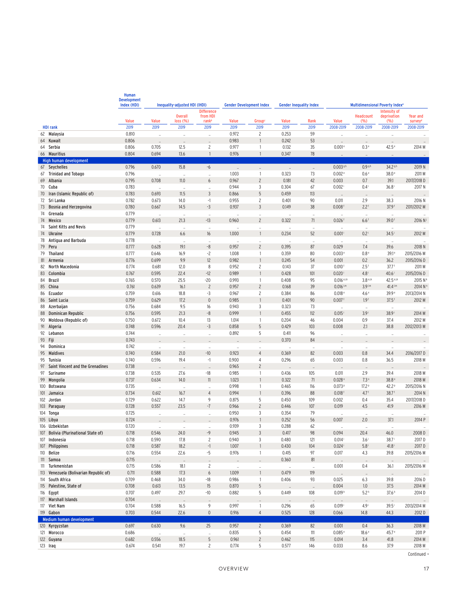|          |                                                       | Human<br><b>Development</b> | Inequality-adjusted HDI (IHDI)               |                                              | <b>Gender Development Index</b><br><b>Gender Inequality Index</b> |                      |                                  |                      | Multidimensional Poverty Index <sup>a</sup> |                        |                               |                                            |                              |
|----------|-------------------------------------------------------|-----------------------------|----------------------------------------------|----------------------------------------------|-------------------------------------------------------------------|----------------------|----------------------------------|----------------------|---------------------------------------------|------------------------|-------------------------------|--------------------------------------------|------------------------------|
|          |                                                       | Index (HDI)                 |                                              | <b>Overall</b>                               | <b>Difference</b><br>from HDI                                     |                      |                                  |                      |                                             |                        | Headcount                     | Intensity of<br>deprivation                | Year and                     |
|          |                                                       | Value                       | Value                                        | loss (%)                                     | <b>rank</b> b                                                     | Value                | <b>Group</b> <sup>c</sup>        | Value                | Rank                                        | Value                  | (%)                           | (%)                                        | survey <sup>d</sup>          |
|          | <b>HDI rank</b>                                       | 2019                        | 2019                                         | 2019                                         | 2019                                                              | 2019                 | 2019                             | 2019                 | 2019                                        | 2008-2019              | 2008-2019                     | 2008-2019                                  | 2008-2019                    |
| 64       | 62 Malaysia<br>Kuwait                                 | 0.810<br>0.806              | $\ddot{\phantom{a}}$                         | $\ddot{\phantom{a}}$                         |                                                                   | 0.972<br>0.983       | $\mathbf{2}$<br>$\overline{1}$   | 0.253<br>0.242       | 59<br>53                                    |                        | $\ldots$                      |                                            |                              |
| 64       | Serbia                                                | 0.806                       | <br>0.705                                    | $\ddot{\phantom{a}}$<br>12.5                 | $\ddotsc$<br>$\overline{c}$                                       | 0.977                | $\overline{1}$                   | 0.132                | 35                                          | $\ddotsc$<br>0.001e    | $\ddotsc$<br>0.3 <sup>e</sup> | 42.5 <sup>e</sup>                          | 2014 M                       |
| 66       | <b>Mauritius</b>                                      | 0.804                       | 0.694                                        | 13.6                                         | $\mathbf{1}$                                                      | 0.976                | $\overline{1}$                   | 0.347                | 78                                          | $\ddot{\phantom{a}}$   |                               | $\ddotsc$                                  |                              |
|          | High human development                                |                             |                                              |                                              |                                                                   |                      |                                  |                      |                                             |                        |                               |                                            |                              |
| 67       | Seychelles                                            | 0.796                       | 0.670                                        | 15.8                                         | -6                                                                | $\ldots$             | $\ddot{\phantom{a}}$             | $\ldots$             | $\ldots$                                    | $0.003$ <sup>g,h</sup> | 0.99h                         | 34.2 g.h                                   | 2019 N                       |
| 67       | <b>Trinidad and Tobago</b>                            | 0.796                       |                                              | $\cdot$                                      | $\ldots$                                                          | 1.003                | $\overline{1}$                   | 0.323                | 73                                          | 0.002e                 | 0.6e                          | 38.0 <sup>e</sup>                          | 2011 M                       |
| 69<br>70 | Albania<br>Cuba                                       | 0.795<br>0.783              | 0.708                                        | 11.0                                         | 6                                                                 | 0.967<br>0.944       | $\overline{c}$<br>3              | 0.181<br>0.304       | 42<br>67                                    | 0.003<br>0.002         | 0.7<br>0.4                    | 39.1<br>36.8                               | 2017/2018 D<br>2017 N        |
| 70       | Iran (Islamic Republic of)                            | 0.783                       | $\ldots$<br>0.693                            | $\ddot{\phantom{a}}$<br>11.5                 | $\ldots$<br>3                                                     | 0.866                | 5                                | 0.459                | 113                                         | $\cdot\cdot$           | $\cdot$                       | $\cdot$                                    | $\cdots$                     |
|          | 72 Sri Lanka                                          | 0.782                       | 0.673                                        | 14.0                                         | $-1$                                                              | 0.955                | $\overline{c}$                   | 0.401                | 90                                          | 0.011                  | 2.9                           | 38.3                                       | 2016 N                       |
| 73       | Bosnia and Herzegovina                                | 0.780                       | 0.667                                        | 14.5                                         | $-3$                                                              | 0.937                | $\mathbf{3}$                     | 0.149                | 38                                          | 0.008                  | 2.2 <sup>1</sup>              | 37.9 <sup>1</sup>                          | 2011/2012 M                  |
| 74       | Grenada                                               | 0.779                       | $\ddot{\phantom{a}}$                         | ÷.                                           | $\ldots$                                                          |                      | $\ddot{\phantom{a}}$             |                      | $\cdot$                                     |                        | $\ddot{\phantom{a}}$          |                                            |                              |
| 74       | Mexico                                                | 0.779                       | 0.613                                        | 21.3                                         | $-13$                                                             | 0.960                | $\overline{c}$                   | 0.322                | 71                                          | 0.026                  | 6.6 <sup>1</sup>              | 39.0 <sup>1</sup>                          | 2016 N                       |
| 74<br>74 | Saint Kitts and Nevis<br>Ukraine                      | 0.779<br>0.779              | <br>0.728                                    | 6.6                                          | $\ddotsc$<br>16                                                   | 1.000                | $\overline{1}$                   | 0.234                | 52                                          | 0.001                  | 0.2                           | $34.5^{\mathrm{i}}$                        | 2012 M                       |
| 78       | Antigua and Barbuda                                   | 0.778                       | $\ddot{\phantom{a}}$                         | $\ddot{\phantom{a}}$                         | $\ddotsc$                                                         | $\ddot{\phantom{a}}$ | $\ddot{\phantom{a}}$             | $\ddot{\phantom{a}}$ | $\ddot{\phantom{0}}$                        | $\ddot{\phantom{a}}$   | $\cdot$                       | $\cdot$                                    |                              |
| 79       | Peru                                                  | 0.777                       | 0.628                                        | 19.1                                         | -8                                                                | 0.957                | $\overline{c}$                   | 0.395                | 87                                          | 0.029                  | 7.4                           | 39.6                                       | 2018 N                       |
| 79       | Thailand                                              | 0.777                       | 0.646                                        | 16.9                                         | $-2$                                                              | 1.008                | $\mathbf{1}$                     | 0.359                | 80                                          | 0.003e                 | 0.8 <sup>e</sup>              | 39.1 <sup>e</sup>                          | 2015/2016 M                  |
| 81       | Armenia                                               | 0.776                       | 0.699                                        | 9.9                                          | 12                                                                | 0.982                | $\overline{1}$                   | 0.245                | 54                                          | 0.001                  | 0.2                           | 36.2                                       | 2015/2016 D                  |
| 82       | North Macedonia                                       | 0.774                       | 0.681                                        | 12.0                                         | 8                                                                 | 0.952                | $\overline{c}$                   | 0.143                | 37                                          | 0.010 <sup>1</sup>     | 2.5 <sup>1</sup>              | 37.7 <sup>1</sup>                          | 2011 M                       |
| 83       | Colombia                                              | 0.767                       | 0.595                                        | 22.4                                         | $-12$                                                             | 0.989                | $\overline{1}$                   | 0.428                | 101                                         | 0.020<br>$0.016$ e.i.k | 4.8 <sup>i</sup><br>3.8 e.i.k | 40.6 <sup>1</sup><br>42.5 <sup>e,i,k</sup> | 2015/2016 D                  |
| 84<br>85 | Brazil<br>China                                       | 0.765<br>0.761              | 0.570<br>0.639                               | 25.5<br>16.1                                 | $-20$<br>$\overline{c}$                                           | 0.993<br>0.957       | $\overline{1}$<br>$\overline{c}$ | 0.408<br>0.168       | 95<br>39                                    | $0.016$ l.m            | $3.9 \,$ l,m                  | 41.4 km                                    | 2015N<br>2014 N <sup>o</sup> |
| 86       | Ecuador                                               | 0.759                       | 0.616                                        | 18.8                                         | $-3$                                                              | 0.967                | $\overline{c}$                   | 0.384                | 86                                          | 0.018e                 | 4.6e                          | 39.9 <sup>e</sup>                          | 2013/2014 N                  |
|          | 86 Saint Lucia                                        | 0.759                       | 0.629                                        | 17.2                                         | $\mathbb O$                                                       | 0.985                | $\overline{1}$                   | 0.401                | 90                                          | $0.007$ <sup>f</sup>   | 1.9 <sup>1</sup>              | 37.5 <sup>1</sup>                          | 2012 M                       |
| 88       | Azerbaiian                                            | 0.756                       | 0.684                                        | 9.5                                          | 16                                                                | 0.943                | 3                                | 0.323                | 73                                          | $\ddot{\phantom{a}}$   | $\ddot{\phantom{a}}$          | $\ddotsc$                                  |                              |
| 88       | Dominican Republic                                    | 0.756                       | 0.595                                        | 21.3                                         | -8                                                                | 0.999                | $\overline{1}$                   | 0.455                | 112                                         | 0.015                  | 3.9 <sup>1</sup>              | 38.9 <sup>i</sup>                          | 2014 M                       |
| 90       | Moldova (Republic of)                                 | 0.750                       | 0.672                                        | 10.4                                         | 13                                                                | 1.014                | -1                               | 0.204                | 46                                          | 0.004                  | 0.9                           | 37.4                                       | 2012 M                       |
| 91       | Algeria                                               | 0.748                       | 0.596                                        | 20.4                                         | $-3$                                                              | 0.858                | 5                                | 0.429                | 103                                         | 0.008                  | 2.1                           | 38.8                                       | 2012/2013 M                  |
| 93       | 92 Lebanon<br>Fiji                                    | 0.744<br>0.743              | $\ddot{\phantom{a}}$                         | $\ddot{\phantom{a}}$                         | $\ldots$                                                          | 0.892                | 5                                | 0.411<br>0.370       | 96<br>84                                    |                        |                               |                                            |                              |
| 94       | Dominica                                              | 0.742                       | $\ddot{\phantom{a}}$<br>$\ddot{\phantom{a}}$ | $\ddot{\phantom{0}}$<br>$\ddot{\phantom{a}}$ | $\ddotsc$                                                         | $\ddot{\phantom{a}}$ | $\ddot{\phantom{a}}$             | $\ddot{\phantom{a}}$ | $\ddotsc$                                   | $\ddot{\phantom{a}}$   | $\ddot{\phantom{a}}$          | $\ddot{\phantom{a}}$                       |                              |
| 95       | <b>Maldives</b>                                       | 0.740                       | 0.584                                        | 21.0                                         | $-10$                                                             | 0.923                | $\overline{4}$                   | 0.369                | 82                                          | 0.003                  | 0.8                           | 34.4                                       | 2016/2017 D                  |
| 95       | Tunisia                                               | 0.740                       | 0.596                                        | 19.4                                         | $-1$                                                              | 0.900                | 4                                | 0.296                | 65                                          | 0.003                  | 0.8                           | 36.5                                       | 2018 M                       |
| 97       | Saint Vincent and the Grenadines                      | 0.738                       | $\ddot{\phantom{0}}$                         |                                              | $\ldots$                                                          | 0.965                | $\overline{c}$                   | $\ddot{\phantom{a}}$ | $\ldots$                                    | $\ldots$               | $\ddot{\phantom{0}}$          | $\ldots$                                   |                              |
| 97       | Suriname                                              | 0.738                       | 0.535                                        | 27.6                                         | $-18$                                                             | 0.985                | $\overline{1}$                   | 0.436                | 105                                         | 0.011                  | 2.9                           | 39.4                                       | 2018 M                       |
| 99       | Mongolia<br>100 Botswana                              | 0.737<br>0.735              | 0.634                                        | 14.0                                         | 11                                                                | 1.023<br>0.998       | $\mathbf{1}$<br>$\overline{1}$   | 0.322<br>0.465       | 71<br>116                                   | 0.028°<br>0.073P       | 7.3°<br>17.2 <sup>p</sup>     | 38.8°<br>42.2P                             | 2018 M<br>2015/2016 N        |
| 101      | Jamaica                                               | 0.734                       | $\ldots$<br>0.612                            | $\ddot{\phantom{a}}$<br>16.7                 | $\ldots$<br>$\overline{4}$                                        | 0.994                | $\overline{1}$                   | 0.396                | 88                                          | 0.018                  | 4.7 <sup>1</sup>              | 38.7 <sup>1</sup>                          | 2014 N                       |
|          | 102 Jordan                                            | 0.729                       | 0.622                                        | 14.7                                         | 9                                                                 | 0.875                | 5                                | 0.450                | 109                                         | 0.002                  | 0.4                           | 35.4                                       | 2017/2018 D                  |
|          | 103 Paraguay                                          | 0.728                       | 0.557                                        | 23.5                                         | -7                                                                | 0.966                | $\overline{c}$                   | 0.446                | 107                                         | 0.019                  | 4.5                           | 41.9                                       | 2016 M                       |
|          | 104 Tonga                                             | 0.725                       |                                              |                                              | $\ddot{\phantom{a}}$                                              | 0.950                | 3                                | 0.354                | 79                                          |                        | $\ddot{\phantom{a}}$          | $\ddot{\phantom{a}}$                       |                              |
|          | 105 Libya                                             | 0.724                       |                                              |                                              | $\ddotsc$                                                         | 0.976                |                                  | 0.252                | 56                                          | 0.007                  | 2.0                           | 37.1                                       | 2014 P                       |
|          | 106 Uzbekistan                                        | 0.720                       |                                              |                                              |                                                                   | 0.939                | 3                                | 0.288                | 62                                          |                        |                               |                                            |                              |
|          | 107 Bolivia (Plurinational State of)<br>107 Indonesia | 0.718<br>0.718              | 0.546<br>0.590                               | 24.0<br>17.8                                 | -9<br>$\overline{c}$                                              | 0.945<br>0.940       | 3<br>3                           | 0.417<br>0.480       | 98<br>121                                   | 0.094<br>0.014         | 20.4<br>3.6 <sup>1</sup>      | 46.0<br>$38.7^{\circ}$                     | 2008D<br>2017 D              |
|          | 107 Philippines                                       | 0.718                       | 0.587                                        | 18.2                                         | $-1$                                                              | 1.007                |                                  | 0.430                | 104                                         | 0.024                  | 5.8 <sup>1</sup>              | 41.8                                       | 2017 D                       |
|          | 110 Belize                                            | 0.716                       | 0.554                                        | 22.6                                         | $-5$                                                              | 0.976                | $\mathbf{1}$                     | 0.415                | 97                                          | 0.017                  | 4.3                           | 39.8                                       | 2015/2016 M                  |
|          | 111 Samoa                                             | 0.715                       |                                              |                                              |                                                                   |                      |                                  | 0.360                | 81                                          | $\ddot{\phantom{a}}$   | $\ldots$                      | $\cdot$                                    | $\cdot$                      |
|          | 111 Turkmenistan                                      | 0.715                       | 0.586                                        | 18.1                                         | $\mathbf{2}$                                                      | $\ddot{\phantom{a}}$ | $\ddot{\phantom{a}}$             | $\cdot$              | $\ldots$                                    | 0.001                  | 0.4                           | 36.1                                       | 2015/2016 M                  |
|          | 113 Venezuela (Bolivarian Republic of)                | 0.711                       | 0.588                                        | 17.3                                         | $6\,$                                                             | 1.009                | $\overline{1}$                   | 0.479                | 119                                         |                        | $\ddotsc$                     | $\cdot$                                    |                              |
|          | 114 South Africa                                      | 0.709                       | 0.468                                        | 34.0                                         | $-18$                                                             | 0.986                | $\mathbf{1}$                     | 0.406                | 93                                          | 0.025                  | 6.3                           | 39.8                                       | 2016 D                       |
|          | 115 Palestine, State of<br>116 Egypt                  | 0.708<br>0.707              | 0.613<br>0.497                               | 13.5<br>29.7                                 | 15<br>$-10$                                                       | 0.870<br>0.882       | 5<br>5                           | 0.449                | $\ldots$<br>108                             | 0.004<br>0.019h        | $1.0\,$<br>5.2h               | 37.5<br>37.6h                              | 2014 M<br>2014 D             |
|          | 117 Marshall Islands                                  | 0.704                       |                                              | $\ddot{\phantom{0}}$                         |                                                                   |                      |                                  |                      |                                             |                        | $\ddot{\phantom{0}}$          | $\sim$                                     |                              |
|          | 117 Viet Nam                                          | 0.704                       | 0.588                                        | 16.5                                         | 9                                                                 | 0.997                | $\mathbf{1}$                     | 0.296                | 65                                          | 0.019                  | 4.9 <sup>1</sup>              | $39.5^{\circ}$                             | 2013/2014 M                  |
|          | 119 Gabon                                             | 0.703                       | 0.544                                        | 22.6                                         | $\mathbf 0$                                                       | 0.916                | $\overline{4}$                   | 0.525                | 128                                         | 0.066                  | 14.8                          | 44.3                                       | 2012 D                       |
|          | Medium human development                              |                             |                                              |                                              |                                                                   |                      |                                  |                      |                                             |                        |                               |                                            |                              |
|          | 120 Kyrgyzstan                                        | 0.697                       | 0.630                                        | 9.6                                          | 25                                                                | 0.957                | $\overline{c}$                   | 0.369                | 82                                          | 0.001                  | 0.4                           | 36.3                                       | 2018 M                       |
|          | 121 Morocco                                           | 0.686                       | $\ddot{\phantom{a}}$                         | $\ddot{\phantom{a}}$                         |                                                                   | 0.835                | 5                                | 0.454                | 111                                         | 0.085e                 | 18.6 <sup>e</sup>             | 45.7 <sup>e</sup>                          | 2011 P                       |
|          | 122 Guyana<br>$123$ Iraq                              | 0.682<br>0.674              | 0.556<br>0.541                               | 18.5<br>19.7                                 | $5\,$<br>$\mathbf{2}$                                             | 0.961<br>0.774       | $\overline{c}$<br>5              | 0.462<br>0.577       | 115<br>146                                  | 0.014<br>0.033         | 3.4<br>8.6                    | 41.8<br>37.9                               | 2014 M<br>2018 M             |
|          |                                                       |                             |                                              |                                              |                                                                   |                      |                                  |                      |                                             |                        |                               |                                            |                              |

Continued →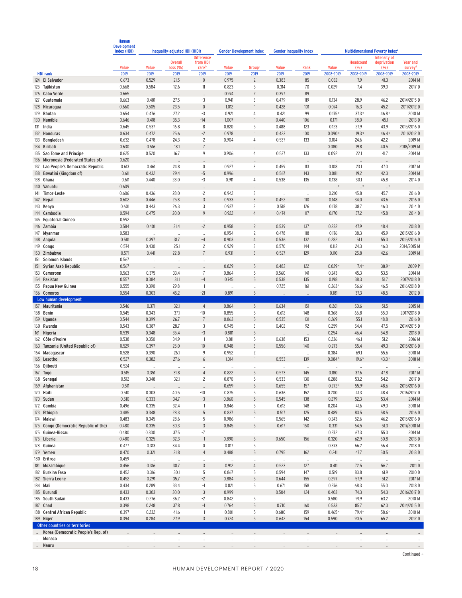|              |                                               | <b>Human</b><br><b>Development</b><br>Index (HDI) | Inequality-adjusted HDI (IHDI)       |                              | <b>Gender Development Index</b>        |                               | <b>Gender Inequality Index</b> |                      | Multidimensional Poverty Index <sup>ª</sup> |                               |                              |                              |                                  |
|--------------|-----------------------------------------------|---------------------------------------------------|--------------------------------------|------------------------------|----------------------------------------|-------------------------------|--------------------------------|----------------------|---------------------------------------------|-------------------------------|------------------------------|------------------------------|----------------------------------|
|              |                                               |                                                   |                                      | <b>Overall</b>               | <b>Difference</b><br>from HDI          |                               |                                |                      |                                             |                               | Headcount                    | Intensity of<br>deprivation  | Year and                         |
|              | <b>HDI rank</b>                               | Value<br>2019                                     | Value<br>2019                        | loss (%)<br>2019             | rank <sup>b</sup><br>2019              | Value<br>2019                 | Group <sup>c</sup><br>2019     | Value<br>2019        | Rank<br>2019                                | Value<br>2008-2019            | (%)<br>2008-2019             | (%)<br>2008-2019             | survey <sup>d</sup><br>2008-2019 |
|              | 124 El Salvador                               | 0.673                                             | 0.529                                | 21.5                         | $\overline{0}$                         | 0.975                         | $\overline{c}$                 | 0.383                | 85                                          | 0.032                         | 7.9                          | 41.3                         | 2014 M                           |
|              | 125 Tajikistan                                | 0.668                                             | 0.584                                | 12.6                         | 11                                     | 0.823                         | 5                              | 0.314                | 70                                          | 0.029                         | 7.4                          | 39.0                         | 2017 D                           |
|              | 126 Cabo Verde                                | 0.665                                             |                                      | $\ddot{\phantom{0}}$         | $\ddot{\phantom{0}}$                   | 0.974                         | $\overline{c}$                 | 0.397                | 89                                          |                               | $\ddotsc$                    |                              |                                  |
| 127          | Guatemala                                     | 0.663                                             | 0.481                                | 27.5                         | $-3$                                   | 0.941                         | 3                              | 0.479                | 119                                         | 0.134                         | 28.9                         | 46.2                         | 2014/2015 D                      |
| 128          | Nicaragua                                     | 0.660                                             | 0.505                                | 23.5                         | $\pmb{0}$                              | 1.012                         | $\mathbf{1}$                   | 0.428                | 101                                         | 0.074                         | 16.3                         | 45.2                         | 2011/2012 D                      |
| 129          | Bhutan                                        | 0.654                                             | 0.476                                | 27.2                         | $-3$                                   | 0.921                         | 4                              | 0.421                | 99                                          | $0.175$ <sup>e</sup>          | 37.3 <sup>e</sup>            | 46.8 <sup>e</sup>            | 2010 M                           |
|              | 130 Namibia                                   | 0.646                                             | 0.418                                | 35.3                         | $-14$                                  | 1.007                         | $\mathbf{1}$                   | 0.440                | 106                                         | 0.171                         | 38.0                         | 45.1                         | 2013 D                           |
| 131          | India<br>132 Honduras                         | 0.645<br>0.634                                    | 0.537<br>0.472                       | 16.8<br>25.6                 | 8<br>$-2$                              | 0.820<br>0.978                | 5<br>$\mathbf{1}$              | 0.488<br>0.423       | 123<br>100                                  | 0.123<br>0.090                | 27.9<br>19.39                | 43.9<br>46.4 <sup>q</sup>    | 2015/2016 D<br>2011/2012 D       |
| 133          | Bangladesh                                    | 0.632                                             | 0.478                                | 24.3                         | $\mathbf{2}$                           | 0.904                         | 4                              | 0.537                | 133                                         | 0.104                         | 24.6                         | 42.2                         | 2019 M                           |
|              | 134 Kiribati                                  | 0.630                                             | 0.516                                | 18.1                         | $\overline{1}$                         |                               |                                |                      |                                             | 0.080                         | 19.8                         | 40.5                         | 2018/2019 M                      |
|              | 135 Sao Tome and Principe                     | 0.625                                             | 0.520                                | 16.7                         | 9                                      | 0.906                         | 4                              | 0.537                | 133                                         | 0.092                         | 22.1                         | 41.7                         | 2014 M                           |
|              | 136 Micronesia (Federated States of)          | 0.620                                             |                                      |                              | $\ddot{\phantom{a}}$                   |                               |                                |                      | $\ddot{\phantom{0}}$                        |                               | $\ddot{\phantom{a}}$         |                              |                                  |
| 137          | Lao People's Democratic Republic              | 0.613                                             | 0.461                                | 24.8                         | 0                                      | 0.927                         | 3                              | 0.459                | 113                                         | 0.108                         | 23.1                         | 47.0                         | 2017 M                           |
| 138          | Eswatini (Kingdom of)                         | 0.611                                             | 0.432                                | 29.4                         | $-5$                                   | 0.996                         |                                | 0.567                | 143                                         | 0.081                         | 19.2                         | 42.3                         | 2014 M                           |
|              | 138 Ghana                                     | 0.611                                             | 0.440                                | 28.0                         | $-3$                                   | 0.911                         | 4                              | 0.538                | 135                                         | 0.138                         | 30.1                         | 45.8                         | 2014 D                           |
| 140          | Vanuatu                                       | 0.609                                             |                                      |                              |                                        |                               |                                |                      |                                             | $\cdot$ e                     | $\cdot$ e                    | $\cdot$ <sup>e</sup>         |                                  |
| 141          | Timor-Leste                                   | 0.606                                             | 0.436                                | 28.0                         | $-2$                                   | 0.942                         | 3                              | $\ddot{\phantom{a}}$ | $\cdot$                                     | 0.210                         | 45.8                         | 45.7                         | 2016 D                           |
| 142          | <b>Nepal</b>                                  | 0.602                                             | 0.446                                | 25.8                         | $\mathfrak{Z}$                         | 0.933                         | $\mathfrak{Z}$                 | 0.452                | 110                                         | 0.148                         | 34.0                         | 43.6                         | 2016 D                           |
|              | 143 Kenya                                     | 0.601                                             | 0.443                                | 26.3                         | 3                                      | 0.937                         | 3                              | 0.518                | 126                                         | 0.178                         | 38.7                         | 46.0                         | 2014 D                           |
| 144          | Cambodia                                      | 0.594                                             | 0.475                                | 20.0                         | 9                                      | 0.922                         | $\overline{4}$                 | 0.474                | 117                                         | 0.170                         | 37.2                         | 45.8                         | 2014 D                           |
| 145          | <b>Equatorial Guinea</b><br>146 Zambia        | 0.592<br>0.584                                    | $\ddot{\phantom{a}}$<br>0.401        | $\ddot{\phantom{0}}$<br>31.4 | $\cdot$<br>$-2$                        | $\ddot{\phantom{0}}$<br>0.958 | <br>$\overline{c}$             | 0.539                | <br>137                                     | $\ddot{\phantom{a}}$<br>0.232 | $\ddot{\phantom{0}}$<br>47.9 | $\ddot{\phantom{0}}$<br>48.4 | 2018 D                           |
| 147          | Myanmar                                       | 0.583                                             |                                      |                              | $\ldots$                               | 0.954                         | $\overline{c}$                 | 0.478                | 118                                         | 0.176                         | 38.3                         | 45.9                         | 2015/2016 D                      |
|              | 148 Angola                                    | 0.581                                             | 0.397                                | 31.7                         | $-4$                                   | 0.903                         | $\overline{4}$                 | 0.536                | 132                                         | 0.282                         | 51.1                         | 55.3                         | 2015/2016 D                      |
|              | 149 Congo                                     | 0.574                                             | 0.430                                | 25.1                         | $\overline{c}$                         | 0.929                         | 3                              | 0.570                | 144                                         | 0.112                         | 24.3                         | 46.0                         | 2014/2015 M                      |
|              | 150 Zimbabwe                                  | 0.571                                             | 0.441                                | 22.8                         | $\overline{1}$                         | 0.931                         | $\mathbf{3}$                   | 0.527                | 129                                         | 0.110                         | 25.8                         | 42.6                         | 2019 M                           |
| 151          | Solomon Islands                               | 0.567                                             | $\ddot{\phantom{a}}$                 |                              | $\cdot$                                |                               |                                |                      | $\ddot{\phantom{a}}$                        |                               |                              |                              |                                  |
| 151          | Syrian Arab Republic                          | 0.567                                             | $\cdot$                              | $\ddot{\phantom{a}}$         | $\cdot\cdot$                           | 0.829                         | 5                              | 0.482                | 122                                         | 0.029e                        | 7.4 <sup>e</sup>             | 38.9 <sup>e</sup>            | 2009 P                           |
|              | 153 Cameroon                                  | 0.563                                             | 0.375                                | 33.4                         | -7                                     | 0.864                         | 5                              | 0.560                | 141                                         | 0.243                         | 45.3                         | 53.5                         | 2014 M                           |
| 154          | Pakistan                                      | 0.557                                             | 0.384                                | 31.1                         | $-4$                                   | 0.745                         | 5                              | 0.538                | 135                                         | 0.198                         | 38.3                         | 51.7                         | 2017/2018 D                      |
| 155          | Papua New Guinea                              | 0.555                                             | 0.390                                | 29.8                         | $-1$                                   | J.                            |                                | 0.725                | 161                                         | 0.263                         | 56.6                         | 46.5                         | 2016/2018 D                      |
|              | 156 Comoros<br>Low human development          | 0.554                                             | 0.303                                | 45.2                         | $-21$                                  | 0.891                         | 5                              |                      |                                             | 0.181                         | 37.3                         | 48.5                         | 2012 D                           |
|              | 157 Mauritania                                | 0.546                                             | 0.371                                | 32.1                         | $-4$                                   | 0.864                         | 5                              | 0.634                | 151                                         | 0.261                         | 50.6                         | 51.5                         | 2015 M                           |
|              | 158 Benin                                     | 0.545                                             | 0.343                                | 37.1                         | $-10$                                  | 0.855                         | 5                              | 0.612                | 148                                         | 0.368                         | 66.8                         | 55.0                         | 2017/2018 D                      |
| 159          | Uganda                                        | 0.544                                             | 0.399                                | 26.7                         | $\overline{7}$                         | 0.863                         | 5                              | 0.535                | 131                                         | 0.269                         | 55.1                         | 48.8                         | 2016 D                           |
| 160          | Rwanda                                        | 0.543                                             | 0.387                                | 28.7                         | 3                                      | 0.945                         | 3                              | 0.402                | 92                                          | 0.259                         | 54.4                         | 47.5                         | 2014/2015 D                      |
| 161          | Nigeria                                       | 0.539                                             | 0.348                                | 35.4                         | $-3$                                   | 0.881                         | 5                              |                      |                                             | 0.254                         | 46.4                         | 54.8                         | 2018 D                           |
| 162          | Côte d'Ivoire                                 | 0.538                                             | 0.350                                | 34.9                         | $-1$                                   | 0.811                         | 5                              | 0.638                | 153                                         | 0.236                         | 46.1                         | 51.2                         | 2016 M                           |
| 163          | Tanzania (United Republic of)                 | 0.529                                             | 0.397                                | 25.0                         | 10                                     | 0.948                         | $\mathfrak{Z}$                 | 0.556                | 140                                         | 0.273                         | 55.4                         | 49.3                         | 2015/2016 D                      |
| 164          | Madagascar                                    | 0.528                                             | 0.390                                | 26.1                         | 9                                      | 0.952                         | 2                              | J.                   | $\cdot$                                     | 0.384                         | 69.1                         | 55.6                         | 2018 M                           |
|              | 165 Lesotho                                   | 0.527                                             | 0.382                                | 27.6                         | 6                                      | 1.014                         | $\mathbf{1}$                   | 0.553                | 139                                         | 0.084h                        | 19.6 <sup>h</sup>            | 43.0 <sup>h</sup>            | 2018 M                           |
|              | 166 Djibouti                                  | 0.524<br>0.515                                    | 0.351                                | 31.8                         | $\ddot{\phantom{a}}$<br>$\overline{4}$ | 0.822                         | 5                              | 0.573                | $\ddot{\phantom{a}}$<br>145                 | 0.180                         | 37.6                         | 47.8                         | 2017 M                           |
|              | 167 Togo<br>168 Senegal                       | 0.512                                             | 0.348                                | 32.1                         | $\overline{\mathbf{c}}$                | 0.870                         | $\mathsf S$                    | 0.533                | 130                                         | 0.288                         | 53.2                         | 54.2                         | 2017 D                           |
|              | 169 Afghanistan                               | 0.511                                             | $\ddot{\phantom{0}}$                 |                              |                                        | 0.659                         | 5                              | 0.655                | 157                                         | 0.272                         | 55.9 <sup>i</sup>            | $48.6^{\mathrm{i}}$          | 2015/2016 D                      |
|              | 170 Haiti                                     | 0.510                                             | 0.303                                | 40.5                         | $-10$                                  | 0.875                         | 5                              | 0.636                | 152                                         | 0.200                         | 41.3                         | 48.4                         | 2016/2017 D                      |
|              | 170 Sudan                                     | 0.510                                             | 0.333                                | 34.7                         | $-3$                                   | 0.860                         | $5\phantom{.0}$                | 0.545                | 138                                         | 0.279                         | 52.3                         | 53.4                         | 2014 M                           |
|              | 172 Gambia                                    | 0.496                                             | 0.335                                | 32.4                         | $\mathbf{1}$                           | 0.846                         | 5                              | 0.612                | 148                                         | 0.204                         | 41.6                         | 49.0                         | 2018 M                           |
|              | 173 Ethiopia                                  | 0.485                                             | 0.348                                | 28.3                         | $\mathbf 5$                            | 0.837                         | $\sqrt{5}$                     | 0.517                | 125                                         | 0.489                         | 83.5                         | 58.5                         | 2016 D                           |
|              | 174 Malawi                                    | 0.483                                             | 0.345                                | 28.6                         | 5                                      | 0.986                         | $\mathbf{1}$                   | 0.565                | 142                                         | 0.243                         | 52.6                         | 46.2                         | 2015/2016 D                      |
|              | 175 Congo (Democratic Republic of the)        | 0.480                                             | 0.335                                | 30.3                         | $\sqrt{3}$                             | 0.845                         | $5\,$                          | 0.617                | 150                                         | 0.331                         | 64.5                         | 51.3                         | 2017/2018 M                      |
|              | 175 Guinea-Bissau                             | 0.480                                             | 0.300                                | 37.5                         | $-7$                                   |                               | $\cdots$                       |                      | $\cdot$                                     | 0.372                         | 67.3                         | 55.3                         | 2014 M                           |
|              | 175 Liberia                                   | 0.480                                             | 0.325                                | 32.3                         | $\mathbf{1}$                           | 0.890                         | $5\phantom{.0}$                | 0.650                | 156                                         | 0.320                         | 62.9                         | 50.8                         | 2013 D                           |
|              | 178 Guinea                                    | 0.477                                             | 0.313                                | 34.4                         | 0                                      | 0.817                         | 5                              |                      | $\cdot$                                     | 0.373                         | 66.2                         | 56.4                         | 2018 D                           |
|              | 179 Yemen<br>180 Eritrea                      | 0.470<br>0.459                                    | 0.321                                | 31.8                         | $\sqrt{4}$                             | 0.488                         | 5                              | 0.795                | 162                                         | 0.241                         | 47.7                         | 50.5                         | 2013 D                           |
|              | 181 Mozambique                                | 0.456                                             | $\cdot$<br>0.316                     | 30.7                         | $\cdot$<br>$\sqrt{3}$                  | 0.912                         | <br>$\overline{4}$             | 0.523                | <br>127                                     | 0.411                         | $\ddot{\phantom{0}}$<br>72.5 | 56.7                         | 2011 D                           |
|              | 182 Burkina Faso                              | 0.452                                             | 0.316                                | 30.1                         | 5                                      | 0.867                         | 5                              | 0.594                | 147                                         | 0.519                         | 83.8                         | 61.9                         | 2010 D                           |
|              | 182 Sierra Leone                              | 0.452                                             | 0.291                                | 35.7                         | $-2$                                   | 0.884                         | $\mathsf S$                    | 0.644                | 155                                         | 0.297                         | 57.9                         | 51.2                         | 2017 M                           |
|              | 184 Mali                                      | 0.434                                             | 0.289                                | 33.4                         | $-1$                                   | 0.821                         | 5                              | 0.671                | 158                                         | 0.376                         | 68.3                         | 55.0                         | 2018 D                           |
|              | 185 Burundi                                   | 0.433                                             | 0.303                                | 30.0                         | $\mathfrak{Z}$                         | 0.999                         | $\mathbf{1}$                   | 0.504                | 124                                         | 0.403                         | 74.3                         | 54.3                         | 2016/2017 D                      |
|              | 185 South Sudan                               | 0.433                                             | 0.276                                | 36.2                         | $-2$                                   | 0.842                         | 5                              | $\cdot$              | $\cdot$                                     | 0.580                         | 91.9                         | 63.2                         | 2010 M                           |
|              | 187 Chad                                      | 0.398                                             | 0.248                                | 37.8                         | $-1$                                   | 0.764                         | 5                              | 0.710                | 160                                         | 0.533                         | 85.7                         | 62.3                         | 2014/2015 D                      |
|              | 188 Central African Republic                  | 0.397                                             | 0.232                                | 41.6                         | $-1$                                   | 0.801                         | 5                              | 0.680                | 159                                         | $0.465$ <sup>e</sup>          | 79.4 <sup>e</sup>            | 58.6 <sup>e</sup>            | 2010 M                           |
|              | 189 Niger                                     | 0.394                                             | 0.284                                | 27.9                         | $\mathfrak{Z}$                         | 0.724                         | $5\phantom{.0}$                | 0.642                | 154                                         | 0.590                         | 90.5                         | 65.2                         | 2012 D                           |
|              | Other countries or territories                |                                                   |                                      |                              |                                        |                               |                                |                      |                                             |                               |                              |                              |                                  |
|              | Korea (Democratic People's Rep. of)<br>Monaco |                                                   |                                      |                              |                                        |                               |                                |                      |                                             |                               |                              |                              |                                  |
| $\mathbf{r}$ | Nauru                                         | <br>$\ddot{\phantom{0}}$                          | $\ddot{\phantom{0}}$<br>$\cdot\cdot$ | $\cdot\cdot$                 |                                        | <br>                          | <br>$\cdot$                    |                      | <br>                                        |                               |                              |                              |                                  |
|              |                                               |                                                   |                                      |                              | $\cdot\cdot$                           |                               |                                |                      |                                             |                               |                              |                              |                                  |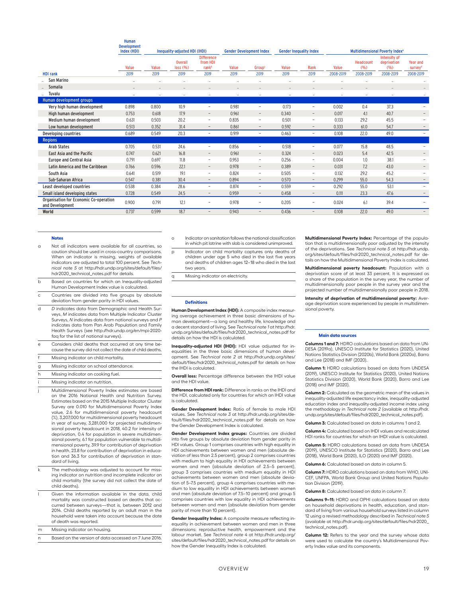|                                                           | <b>Human</b><br><b>Development</b> |                                |                            |                                                    |                      |                                |                      |                                             |                      |                      |                                    |                                 |
|-----------------------------------------------------------|------------------------------------|--------------------------------|----------------------------|----------------------------------------------------|----------------------|--------------------------------|----------------------|---------------------------------------------|----------------------|----------------------|------------------------------------|---------------------------------|
|                                                           | Index (HDI)                        | Inequality-adjusted HDI (IHDI) |                            | <b>Gender Development Index</b>                    |                      | <b>Gender Inequality Index</b> |                      | Multidimensional Poverty Index <sup>ª</sup> |                      |                      |                                    |                                 |
|                                                           | Value                              | <b>Value</b>                   | <b>Overall</b><br>loss (%) | <b>Difference</b><br>from HDI<br>rank <sup>b</sup> | Value                | <b>Group</b> <sup>c</sup>      | <b>Value</b>         | <b>Rank</b>                                 | Value                | Headcount<br>(%)     | Intensity of<br>deprivation<br>(%) | Year and<br>survey <sup>d</sup> |
| <b>HDI rank</b>                                           | 2019                               | 2019                           | 2019                       | 2019                                               | 2019                 | 2019                           | 2019                 | 2019                                        | 2008-2019            | 2008-2019            | 2008-2019                          | 2008-2019                       |
| San Marino                                                | $\ddotsc$                          | $\ddot{\phantom{a}}$           | $\ddotsc$                  | $\ddot{\phantom{a}}$                               | $\ddotsc$            | $\ddotsc$                      | $\ddotsc$            | $\ddot{\phantom{a}}$                        | $\ddot{\phantom{0}}$ | $\ddot{\phantom{0}}$ | $\ldots$                           |                                 |
| Somalia                                                   | $\overline{\phantom{a}}$           | $\ddot{\phantom{a}}$           | $\ddot{\phantom{a}}$       |                                                    | $\ddot{\phantom{a}}$ |                                | $\ddot{\phantom{a}}$ |                                             | $\ddot{\phantom{a}}$ |                      |                                    | $\ddot{\phantom{a}}$            |
| Tuvalu                                                    | $\ddot{\phantom{0}}$               | $\ddot{\phantom{a}}$           | $\ddot{\phantom{a}}$       |                                                    | $\ddot{\phantom{a}}$ | $\ddot{\phantom{a}}$           | $\ddot{\phantom{a}}$ |                                             | $\ddot{\phantom{a}}$ |                      | $\ddot{\phantom{a}}$               | $\ddotsc$                       |
| Human development groups                                  |                                    |                                |                            |                                                    |                      |                                |                      |                                             |                      |                      |                                    |                                 |
| Very high human development                               | 0.898                              | 0.800                          | 10.9                       | $\overline{\phantom{m}}$                           | 0.981                | $\overline{\phantom{m}}$       | 0.173                | $\overline{\phantom{m}}$                    | 0.002                | 0.4                  | 37.3                               | $\overline{\phantom{0}}$        |
| High human development                                    | 0.753                              | 0.618                          | 17.9                       | $\qquad \qquad -$                                  | 0.961                | $\overline{\phantom{a}}$       | 0.340                | $\overline{\phantom{a}}$                    | 0.017                | 4.1                  | 40.7                               | $\qquad \qquad -$               |
| Medium human development                                  | 0.631                              | 0.503                          | 20.2                       | $\overline{\phantom{a}}$                           | 0.835                | $\overline{\phantom{0}}$       | 0.501                | $\overline{\phantom{a}}$                    | 0.133                | 29.2                 | 45.5                               |                                 |
| Low human development                                     | 0.513                              | 0.352                          | 31.4                       | $\qquad \qquad -$                                  | 0.861                | $\overline{\phantom{0}}$       | 0.592                | $\overline{\phantom{a}}$                    | 0.333                | 61.0                 | 54.7                               | $\overline{\phantom{0}}$        |
| Developing countries                                      | 0.689                              | 0.549                          | 20.3                       | $\overline{\phantom{a}}$                           | 0.919                | $\overline{\phantom{m}}$       | 0.463                | $\overline{\phantom{a}}$                    | 0.108                | 22.0                 | 49.0                               | $\overline{\phantom{0}}$        |
| <b>Regions</b>                                            |                                    |                                |                            |                                                    |                      |                                |                      |                                             |                      |                      |                                    |                                 |
| <b>Arab States</b>                                        | 0.705                              | 0.531                          | 24.6                       | $\overline{\phantom{m}}$                           | 0.856                | $\overline{\phantom{m}}$       | 0.518                | $\overline{\phantom{a}}$                    | 0.077                | 15.8                 | 48.5                               | $\overline{\phantom{0}}$        |
| East Asia and the Pacific                                 | 0.747                              | 0.621                          | 16.8                       | $\qquad \qquad -$                                  | 0.961                | $\overline{\phantom{a}}$       | 0.324                | $\overline{\phantom{a}}$                    | 0.023                | 5.4                  | 42.5                               | $\qquad \qquad -$               |
| <b>Europe and Central Asia</b>                            | 0.791                              | 0.697                          | 11.8                       | $\overline{\phantom{m}}$                           | 0.953                | $\overline{\phantom{a}}$       | 0.256                | -                                           | 0.004                | 1.0                  | 38.1                               | $\overline{\phantom{0}}$        |
| Latin America and the Caribbean                           | 0.766                              | 0.596                          | 22.1                       | $\qquad \qquad -$                                  | 0.978                | $\overline{\phantom{a}}$       | 0.389                | $\overline{\phantom{a}}$                    | 0.031                | 7.2                  | 43.0                               |                                 |
| South Asia                                                | 0.641                              | 0.519                          | 19.1                       | $\overline{\phantom{a}}$                           | 0.824                | $\overline{\phantom{m}}$       | 0.505                | $\overline{\phantom{a}}$                    | 0.132                | 29.2                 | 45.2                               | ۰                               |
| Sub-Saharan Africa                                        | 0.547                              | 0.381                          | 30.4                       | $\overline{\phantom{0}}$                           | 0.894                | $\overline{\phantom{a}}$       | 0.570                | $\overline{\phantom{a}}$                    | 0.299                | 55.0                 | 54.3                               | $\overline{\phantom{0}}$        |
| Least developed countries                                 | 0.538                              | 0.384                          | 28.6                       | $\overline{\phantom{a}}$                           | 0.874                | $\overline{\phantom{m}}$       | 0.559                | $\overline{\phantom{a}}$                    | 0.292                | 55.0                 | 53.1                               | $\overline{\phantom{0}}$        |
| Small island developing states                            | 0.728                              | 0.549                          | 24.5                       | $\qquad \qquad -$                                  | 0.959                | $\qquad \qquad -$              | 0.458                | $\overline{\phantom{m}}$                    | 0.111                | 23.3                 | 47.6                               | $\overline{\phantom{0}}$        |
| Organisation for Economic Co-operation<br>and Development | 0.900                              | 0.791                          | 12.1                       | $\overline{\phantom{m}}$                           | 0.978                | $\overline{\phantom{m}}$       | 0.205                | $\overline{\phantom{m}}$                    | 0.024                | 6.1                  | 39.4                               |                                 |
| World                                                     | 0.737                              | 0.599                          | 18.7                       |                                                    | 0.943                | $\qquad \qquad -$              | 0.436                | $\qquad \qquad -$                           | 0.108                | 22.0                 | 49.0                               | $=$                             |

#### **Notes**

- a Not all indicators were available for all countries, so caution should be used in cross-country comparisons. When an indicator is missing, weights of available indicators are adjusted to total 100 percent. See *Technical note 5* at [http://hdr.undp.org/sites/default/files/](http://hdr.undp.org/sites/default/files/hdr2020_technical_notes.pdf) [hdr2020\\_technical\\_notes.pdf](http://hdr.undp.org/sites/default/files/hdr2020_technical_notes.pdf) for details.
- b Based on countries for which an Inequality-adjusted Human Development Index value is calculated.
- c Countries are divided into five groups by absolute deviation from gender parity in HDI values.
- d *D* indicates data from Demographic and Health Surveys, *M* indicates data from Multiple Indicator Cluster Surveys, *N* indicates data from national surveys and *P* indicates data from Pan Arab Population and Family Health Surveys (see [http://hdr.undp.org/en/mpi-2020](http://hdr.undp.org/en/mpi-2020-faq)[faq](http://hdr.undp.org/en/mpi-2020-faq) for the list of national surveys).
- Considers child deaths that occurred at any time because the survey did not collect the date of child deaths.
- Missing indicator on child mortality
- g Missing indicator on school attendance.
- Missing indicator on cooking fuel.
- Missing indicator on nutrition.
- Multidimensional Poverty Index estimates are based on the 2016 National Health and Nutrition Survey. Estimates based on the 2015 Multiple Indicator Cluster Survey are 0.010 for Multidimensional Poverty Index value, 2.6 for multidimensional poverty headcount (%), 3,207,000 for multidimensional poverty headcount in year of survey, 3,281,000 for projected multidimensional poverty headcount in 2018, 40.2 for intensity of deprivation, 0.4 for population in severe multidimensional poverty, 6.1 for population vulnerable to multidimensional poverty, 39.9 for contribution of deprivation in health, 23.8 for contribution of deprivation in education and 36.3 for contribution of deprivation in standard of living.
- The methodology was adjusted to account for missing indicator on nutrition and incomplete indicator on child mortality (the survey did not collect the date of child deaths).
- Given the information available in the data, child mortality was constructed based on deaths that oc‑ curred between surveys—that is, between 2012 and 2014. Child deaths reported by an adult man in the household were taken into account because the date of death was reported.
- m Missing indicator on housing.
- Based on the version of data accessed on 7 June 2016
- o Indicator on sanitation follows the national classification in which pit latrine with slab is considered unimproved.
- p Indicator on child mortality captures only deaths of children under age 5 who died in the last five years and deaths of children ages 12–18 who died in the last two years.
- Missing indicator on electricity.

#### **Definitions**

- **Human Development Index (HDI):** A composite index measuring average achievement in three basic dimensions of human development—a long and healthy life, knowledge and a decent standard of living. See *Technical note 1* at [http://hdr.](http://hdr.undp.org/sites/default/files/hdr2020_technical_notes.pdf) [undp.org/sites/default/files/hdr2020\\_technical\\_notes.pdf](http://hdr.undp.org/sites/default/files/hdr2020_technical_notes.pdf) for details on how the HDI is calculated.
- **Inequality-adjusted HDI (IHDI):** HDI value adjusted for in‑ equalities in the three basic dimensions of human devel‑ opment. See *Technical note 2* at [http://hdr.undp.org/sites/](http://hdr.undp.org/sites/default/files/hdr2020_technical_notes.pdf) [default/files/hdr2020\\_technical\\_notes.pdf](http://hdr.undp.org/sites/default/files/hdr2020_technical_notes.pdf) for details on how the IHDI is calculated.

**Overall loss:** Percentage difference between the IHDI value and the HDI value.

**Difference from HDI rank:** Difference in ranks on the IHDI and the HDI, calculated only for countries for which an IHDI value is calculated.

**Gender Development Index:** Ratio of female to male HDI values. See *Technical note 3* at [http://hdr.undp.org/sites/de‑](http://hdr.undp.org/sites/default/files/hdr2020_technical_notes.pdf) [fault/files/hdr2020\\_technical\\_notes.pdf](http://hdr.undp.org/sites/default/files/hdr2020_technical_notes.pdf) for details on how the Gender Development Index is calculated.

**Gender Development Index groups:** Countries are divided into five groups by absolute deviation from gender parity in HDI values. Group 1 comprises countries with high equality in HDI achievements between women and men (absolute de‑ viation of less than 2.5 percent), group 2 comprises countries with medium to high equality in HDI achievements between women and men (absolute deviation of 2.5–5 percent), group 3 comprises countries with medium equality in HDI achievements between women and men (absolute devia‑ tion of 5–7.5 percent), group 4 comprises countries with me‑ dium to low equality in HDI achievements between women and men (absolute deviation of 7.5–10 percent) and group 5 comprises countries with low equality in HDI achievements between women and men (absolute deviation from gender parity of more than 10 percent).

**Gender Inequality Index:** A composite measure reflecting in‑ equality in achievement between women and men in three dimensions: reproductive health, empowerment and the labour market. See *Technical note 4* at [http://hdr.undp.org/](http://hdr.undp.org/sites/default/files/hdr2020_technical_notes.pdf) [sites/default/files/hdr2020\\_technical\\_notes.pdf](http://hdr.undp.org/sites/default/files/hdr2020_technical_notes.pdf) for details on how the Gender Inequality Index is calculated.

**Multidimensional Poverty Index:** Percentage of the popula‑ tion that is multidimensionally poor adjusted by the intensity of the deprivations. See *Technical note 5* at [http://hdr.undp.](http://hdr.undp.org/sites/default/files/hdr2020_technical_notes.pdf) [org/sites/default/files/hdr2020\\_technical\\_notes.pdf](http://hdr.undp.org/sites/default/files/hdr2020_technical_notes.pdf) for de‑ tails on how the Multidimensional Poverty Index is calculated.

**Multidimensional poverty headcount:** Population with a deprivation score of at least 33 percent. It is expressed as a share of the population in the survey year, the number of multidimensionally poor people in the survey year and the projected number of multidimensionally poor people in 2018.

**Intensity of deprivation of multidimensional poverty:** Aver‑ age deprivation score experienced by people in multidimensional poverty.

#### **Main data sources**

**Columns 1 and 7:** HDRO calculations based on data from UN‑ DESA (2019a), UNESCO Institute for Statistics (2020), United Nations Statistics Division (2020b), World Bank (2020a), Barro and Lee (2018) and IMF (2020).

**Column 1:** HDRO calculations based on data from UNDESA (2019), UNESCO Institute for Statistics (2020), United Nations Statistics Division (2020), World Bank (2020), Barro and Lee (2018) and IMF (2020).

**Column 2:** Calculated as the geometric mean of the values in inequality-adjusted life expectancy index, inequality-adjusted education index and inequality-adjusted income index using the methodology in *Technical note 2* (available at [http://hdr.](http://hdr.undp.org/sites/default/files/hdr2020_technical_notes.pdf) [undp.org/sites/default/files/hdr2020\\_technical\\_notes.pdf](http://hdr.undp.org/sites/default/files/hdr2020_technical_notes.pdf)).

**Column 3:** Calculated based on data in columns 1 and 2.

**Column 4:** Calculated based on IHDI values and recalculated HDI ranks for countries for which an IHDI value is calculated.

**Column 5:** HDRO calculations based on data from UNDESA (2019), UNESCO Institute for Statistics (2020), Barro and Lee (2018), World Bank (2020), ILO (2020) and IMF (2020).

**Column 6:** Calculated based on data in column 5.

**Column 7:** HDRO calculations based on data from WHO, UNI‑ CEF, UNFPA, World Bank Group and United Nations Popula‑ tion Division (2019).

**Column 8:** Calculated based on data in column 7.

**Columns 9–11:** HDRO and OPHI calculations based on data on household deprivations in health, education, and standard of living from various household surveys listed in column 12 using a revised methodology described in *Technical note 5* (available at [http://hdr.undp.org/sites/default/files/hdr2020\\_](http://hdr.undp.org/sites/default/files/hdr2020_technical_notes.pdf) [technical\\_notes.pdf](http://hdr.undp.org/sites/default/files/hdr2020_technical_notes.pdf)).

**Column 12:** Refers to the year and the survey whose data were used to calculate the country's Multidimensional Poverty Index value and its components.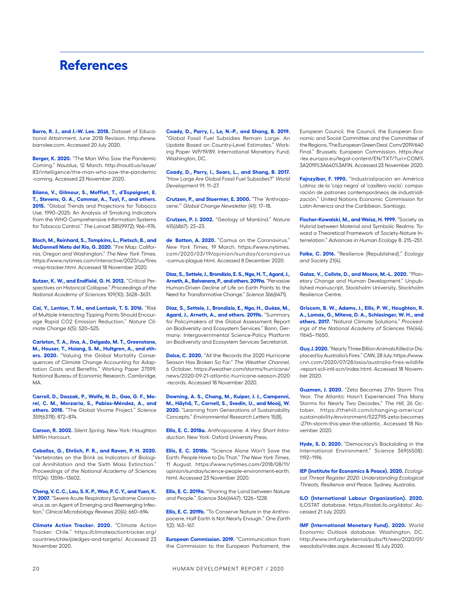# **References**

Barro, R. J., and J.-W. Lee. 2018. Dataset of Educational Attainment, June 2018 Revision. [http://www.](http://www.barrolee.com) [barrolee.com](http://www.barrolee.com). Accessed 20 July 2020.

**Berger, K. 2020.** "The Man Who Saw the Pandemic Coming." *Nautilus*, 12 March. [http://nautil.us/issue/](http://nautil.us/issue/83/intelligence/the-man-who-saw-the-pandemic-coming) [83/intelligence/the-man-who-saw-the-pandemic](http://nautil.us/issue/83/intelligence/the-man-who-saw-the-pandemic-coming) [-coming](http://nautil.us/issue/83/intelligence/the-man-who-saw-the-pandemic-coming). Accessed 23 November 2020.

**Bilano, V., Gilmour, S., Moffiet, T., d'Espaignet, E. T., Stevens, G. A., Commar, A., Tuyl, F., and others. 2015.** "Global Trends and Projections for Tobacco Use, 1990–2025: An Analysis of Smoking Indicators from the WHO Comprehensive Information Systems for Tobacco Control." *The Lancet* 385(9972): 966–976.

**Bloch, M., Reinhard, S., Tompkins, L., Pietsch, B., and McDonnell Nieto del Rio, G. 2020.** "Fire Map: Califor‑ nia, Oregon and Washington." *The New York Times.* [https://www.nytimes.com/interactive/2020/us/fires](https://www.nytimes.com/interactive/2020/us/fires-map-tracker.html) [-map-tracker.html](https://www.nytimes.com/interactive/2020/us/fires-map-tracker.html). Accessed 18 November 2020.

**Butzer, K. W., and Endfield, G. H. 2012.** "Critical Per‑ spectives on Historical Collapse." *Proceedings of the National Academy of Sciences* 109(10): 3628–3631.

**Cai, Y., Lenton, T. M., and Lontzek, T. S. 2016.** "Risk of Multiple Interacting Tipping Points Should Encourage Rapid CO2 Emission Reduction." *Nature Climate Change* 6(5): 520–525.

**Carleton, T. A., Jina, A., Delgado, M. T., Greenstone, M., Houser, T., Hsiang, S. M., Hultgren, A., and oth**ers. 2020. "Valuing the Global Mortality Consequences of Climate Change Accounting for Adaptation Costs and Benefits." Working Paper 27599, National Bureau of Economic Research, Cambridge, MA.

**Carroll, D., Daszak, P., Wolfe, N. D., Gao, G. F., Morel, C. M., Morzaria, S., Pablos-Méndez, A., and others. 2018.** "The Global Virome Project." *Science*  359(6378): 872–874.

**Carson, R. 2002.** *Silent Spring.* New York: Houghton Mifflin Harcourt.

**Ceballos, G., Ehrlich, P. R., and Raven, P. H. 2020.** "Vertebrates on the Brink as Indicators of Biologi‑ cal Annihilation and the Sixth Mass Extinction." *Proceedings of the National Academy of Sciences*  117(24): 13596–13602.

**Cheng, V. C. C., Lau, S. K. P., Woo, P. C. Y., and Yuen, K.**  Y. 2007. "Severe Acute Respiratory Syndrome Coronavirus as an Agent of Emerging and Reemerging Infection." *Clinical Microbiology Reviews* 20(4): 660–694.

**Climate Action Tracker. 2020.** "Climate Action Tracker: Chile." [https://climateactiontracker.org/](https://climateactiontracker.org/countries/chile/pledges-and-targets/) [countries/chile/pledges-and-targets/.](https://climateactiontracker.org/countries/chile/pledges-and-targets/) Accessed 23 November 2020.

**Coady, D., Parry, I., Le, N.-P., and Shang, B. 2019.** "Global Fossil Fuel Subsidies Remain Large: An Update Based on Country-Level Estimates." Work‑ ing Paper WP/19/89, International Monetary Fund, Washington, DC.

**Coady, D., Parry, I., Sears, L., and Shang, B. 2017.** "How Large Are Global Fossil Fuel Subsidies?" *World Development* 91: 11–27.

**Crutzen, P., and Stoermer, E. 2000.** "The 'Anthropo‑ cene.'" *Global Change Newsletter* (41): 17–18.

**Crutzen, P. J. 2002.** "Geology of Mankind." *Nature*  415(6867): 23–23.

**de Botton, A. 2020.** "Camus on the Coronavirus." *New York Times,* 19 March. [https://www.nytimes.](https://www.nytimes.com/2020/03/19/opinion/sunday/coronavirus-camus-plague.html) [com/2020/03/19/opinion/sunday/coronavirus](https://www.nytimes.com/2020/03/19/opinion/sunday/coronavirus-camus-plague.html) [-camus-plague.html.](https://www.nytimes.com/2020/03/19/opinion/sunday/coronavirus-camus-plague.html) Accessed 8 December 2020.

**Díaz, S., Settele, J., Brondízio, E. S., Ngo, H. T., Agard, J., Arneth, A., Balvanera, P., and others. 2019a.** "Pervasive Human-Driven Decline of Life on Earth Points to the Need for Transformative Change." *Science* 366(6471).

**Díaz, S., Settele, J., Brondízio, E., Ngo, H., Guèze, M., Agard, J., Arneth, A., and others. 2019b.** "Summary for Policymakers of the Global Assessment Report on Biodiversity and Ecosystem Services." Bonn, Germany: Intergovernmental Science-Policy Platform on Biodiversity and Ecosystem Services Secretariat.

**Dolce, C. 2020.** "All the Records the 2020 Hurricane Season Has Broken So Far." *The Weather Channel*, 6 October. [https://weather.com/storms/hurricane/](https://weather.com/storms/hurricane/news/2020-09-21-atlantic-hurricane-season-2020-records) [news/2020-09-21-atlantic-hurricane-season-2020](https://weather.com/storms/hurricane/news/2020-09-21-atlantic-hurricane-season-2020-records) [-records](https://weather.com/storms/hurricane/news/2020-09-21-atlantic-hurricane-season-2020-records). Accessed 18 November 2020.

**Downing, A. S., Chang, M., Kuiper, J. J., Campenni, M., Häyhä, T., Cornell, S., Svedin, U., and Mooij, W. 2020.** "Learning from Generations of Sustainability Concepts." *Environmental Research Letters* 15(8).

**Ellis, E. C. 2018a.** *Anthropocene: A Very Short Introduction.* New York: Oxford University Press.

**Ellis, E. C. 2018b.** "Science Alone Won't Save the Earth. People Have to Do That." *The New York Times*, 11 August. [https://www.nytimes.com/2018/08/11/](https://www.nytimes.com/2018/08/11/opinion/sunday/science-people-environment-earth.html) [opinion/sunday/science-people-environment-earth.](https://www.nytimes.com/2018/08/11/opinion/sunday/science-people-environment-earth.html) [html.](https://www.nytimes.com/2018/08/11/opinion/sunday/science-people-environment-earth.html) Accessed 23 November 2020.

**Ellis, E. C. 2019a.** "Sharing the Land between Nature and People." *Science* 364(6447): 1226–1228.

**Ellis, E. C. 2019b.** "To Conserve Nature in the Anthropocene, Half Earth Is Not Nearly Enough." *One Earth*  1(2): 163–167.

**European Commission. 2019.** "Communication from the Commission to the European Parliament, the

European Council, the Council, the European Economic and Social Committee and the Committee of the Regions. The European Green Deal. Com/2019/640 Final." Brussels: European Commission. [https://eur](about:blank) [-lex.europa.eu/legal-content/EN/TXT/?uri=COM%](about:blank) [3A2019%3A640%3AFIN.](about:blank) Accessed 23 November 2020.

**Fajnzylber, F. 1990.** "Industrialización en América Latina: de la 'caja negra' al 'casillero vacío': comparación de patrones contemporáneos de industrialización." United Nations Economic Commission for Latin America and the Caribbean, Santiago.

**Fischer-Kowalski, M., and Weisz, H. 1999.** "Society as Hybrid between Material and Symbolic Realms: Toward a Theoretical Framework of Society-Nature Interrelation." *Advances in Human Ecology* 8: 215–251.

**Folke, C. 2016.** "Resilience (Republished)." *Ecology and Society* 21(4).

**Galaz, V., Collste, D., and Moore, M.-L. 2020.** "Plan‑ etary Change and Human Development." Unpublished manuscript, Stockholm University, Stockholm Resilience Centre.

**Griscom, B. W., Adams, J., Ellis, P. W., Houghton, R. A., Lomax, G., Miteva, D. A., Schlesinger, W. H., and others. 2017.** "Natural Climate Solutions." *Proceedings of the National Academy of Sciences* 114(44): 11645–11650.

**Guy, J. 2020.** "Nearly Three Billion Animals Killed or Dis‑ placed by Australia's Fires." *CNN*, 28 July. [https://www.](https://www.cnn.com/2020/07/28/asia/australia-fires-wildlife-report-scli-intl-scn/index.html) [cnn.com/2020/07/28/asia/australia-fires-wildlife](https://www.cnn.com/2020/07/28/asia/australia-fires-wildlife-report-scli-intl-scn/index.html) [-report-scli-intl-scn/index.html](https://www.cnn.com/2020/07/28/asia/australia-fires-wildlife-report-scli-intl-scn/index.html). Accessed 18 November 2020.

**Guzman, J. 2020.** "Zeta Becomes 27th Storm This Year. The Atlantic Hasn't Experienced This Many Storms for Nearly Two Decades." *The Hill*, 26 Oc‑ tober. [https://thehill.com/changing-america/](https://thehill.com/changing-america/sustainability/environment/522795-zeta-becomes-27th-storm-this-year-the-atlantic) [sustainability/environment/522795-zeta-becomes](https://thehill.com/changing-america/sustainability/environment/522795-zeta-becomes-27th-storm-this-year-the-atlantic) [-27th-storm-this-year-the-atlantic](https://thehill.com/changing-america/sustainability/environment/522795-zeta-becomes-27th-storm-this-year-the-atlantic). Accessed 18 No‑ vember 2020.

**Hyde, S. D. 2020.** "Democracy's Backsliding in the International Environment." *Science* 369(6508): 1192–1196.

**IEP (Institute for Economics & Peace). 2020.** *Ecological Threat Register 2020: Understanding Ecological Threats, Resilience and Peace.* Sydney, Australia.

**ILO (International Labour Organization). 2020.** ILOSTAT database. [https://ilostat.ilo.org/data/.](https://ilostat.ilo.org/data/) Ac‑ cessed 21 July 2020.

**IMF (International Monetary Fund). 2020.** World Economic Outlook database. Washington, DC. [http://www.imf.org/external/pubs/ft/weo/2020/01/](http://www.imf.org/external/pubs/ft/weo/2020/01/weodata/index.aspx) [weodata/index.aspx](http://www.imf.org/external/pubs/ft/weo/2020/01/weodata/index.aspx). Accessed 15 July 2020.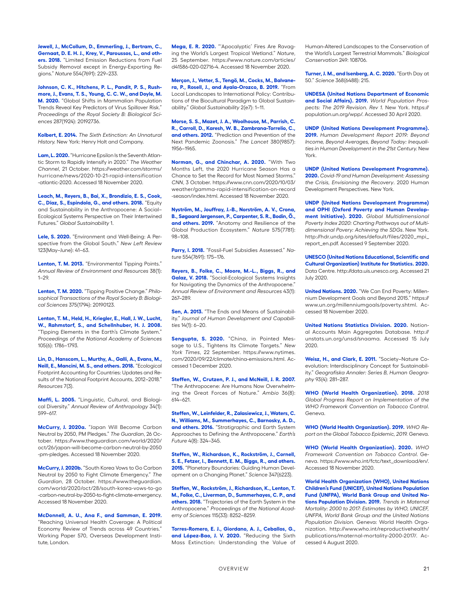**Jewell, J., McCollum, D., Emmerling, J., Bertram, C., Gernaat, D. E. H. J., Krey, V., Paroussos, L., and others. 2018.** "Limited Emission Reductions from Fuel Subsidy Removal except in Energy-Exporting Regions." *Nature* 554(7691): 229–233.

**Johnson, C. K., Hitchens, P. L., Pandit, P. S., Rushmore, J., Evans, T. S., Young, C. C. W., and Doyle, M. M. 2020.** "Global Shifts in Mammalian Population Trends Reveal Key Predictors of Virus Spillover Risk." *Proceedings of the Royal Society B: Biological Sciences* 287(1924): 20192736.

**Kolbert, E. 2014.** *The Sixth Extinction: An Unnatural History.* New York: Henry Holt and Company.

Lam, L. 2020. "Hurricane Epsilon Is the Seventh Atlantic Storm to Rapidly Intensify in 2020." *The Weather Channel*, 21 October. [https://weather.com/storms/](https://weather.com/storms/hurricane/news/2020-10-21-rapid-intensification-atlantic-2020) [hurricane/news/2020-10-21-rapid-intensification](https://weather.com/storms/hurricane/news/2020-10-21-rapid-intensification-atlantic-2020) [-atlantic-2020.](https://weather.com/storms/hurricane/news/2020-10-21-rapid-intensification-atlantic-2020) Accessed 18 November 2020.

**Leach, M., Reyers, B., Bai, X., Brondizio, E. S., Cook, C., Díaz, S., Espindola, G., and others. 2018.** "Equity and Sustainability in the Anthropocene: A Social– Ecological Systems Perspective on Their Intertwined Futures." *Global Sustainability* 1.

Lele, S. 2020. "Environment and Well-Being: A Perspective from the Global South." *New Left Review* 123(May–June): 41–63.

**Lenton, T. M. 2013.** "Environmental Tipping Points." *Annual Review of Environment and Resources* 38(1): 1–29.

**Lenton, T. M. 2020.** "Tipping Positive Change." *Philosophical Transactions of the Royal Society B: Biological Sciences* 375(1794): 20190123.

**Lenton, T. M., Held, H., Kriegler, E., Hall, J. W., Lucht, W., Rahmstorf, S., and Schellnhuber, H. J. 2008.** "Tipping Elements in the Earth's Climate System." *Proceedings of the National Academy of Sciences*  105(6): 1786–1793.

**Lin, D., Hanscom, L., Murthy, A., Galli, A., Evans, M., Neill, E., Mancini, M. S., and others. 2018.** "Ecological Footprint Accounting for Countries: Updates and Re‑ sults of the National Footprint Accounts, 2012–2018." *Resources* 7(3).

Maffi, L. 2005. "Linguistic, Cultural, and Biological Diversity." *Annual Review of Anthropology* 34(1): 599–617.

**McCurry, J. 2020a.** "Japan Will Become Carbon Neutral by 2050, PM Pledges." *The Guardian*, 26 Oc‑ tober. [https://www.theguardian.com/world/2020/](https://www.theguardian.com/world/2020/oct/26/japan-will-become-carbon-neutral-by-2050-pm-pledges) [oct/26/japan-will-become-carbon-neutral-by-2050](https://www.theguardian.com/world/2020/oct/26/japan-will-become-carbon-neutral-by-2050-pm-pledges) [-pm-pledges.](https://www.theguardian.com/world/2020/oct/26/japan-will-become-carbon-neutral-by-2050-pm-pledges) Accessed 18 November 2020.

**McCurry, J. 2020b.** "South Korea Vows to Go Carbon Neutral by 2050 to Fight Climate Emergency." *The Guardian*, 28 October. [https://www.theguardian.](https://www.theguardian.com/world/2020/oct/28/south-korea-vows-to-go-carbon-neutral-by-2050-to-fight-climate-emergency) [com/world/2020/oct/28/south-korea-vows-to-go](https://www.theguardian.com/world/2020/oct/28/south-korea-vows-to-go-carbon-neutral-by-2050-to-fight-climate-emergency) [-carbon-neutral-by-2050-to-fight-climate-emergency.](https://www.theguardian.com/world/2020/oct/28/south-korea-vows-to-go-carbon-neutral-by-2050-to-fight-climate-emergency) Accessed 18 November 2020.

**McDonnell, A. U., Ana F., and Samman, E. 2019.** "Reaching Universal Health Coverage: A Political Economy Review of Trends across 49 Countries." Working Paper 570, Overseas Development Institute, London.

Mega, E. R. 2020. "'Apocalyptic' Fires Are Ravaging the World's Largest Tropical Wetland." *Nature*, 25 September. [https://www.nature.com/articles/](https://www.nature.com/articles/d41586-020-02716-4) [d41586-020-02716-4](https://www.nature.com/articles/d41586-020-02716-4). Accessed 18 November 2020.

**Merçon, J., Vetter, S., Tengö, M., Cocks, M., Balvanera, P., Rosell, J., and Ayala-Orozco, B. 2019.** "From Local Landscapes to International Policy: Contributions of the Biocultural Paradigm to Global Sustain‑ ability." *Global Sustainability* 2(e7): 1–11.

**Morse, S. S., Mazet, J. A., Woolhouse, M., Parrish, C. R., Carroll, D., Karesh, W. B., Zambrana-Torrelio, C., and others. 2012.** "Prediction and Prevention of the Next Pandemic Zoonosis." *The Lancet* 380(9857): 1956–1965.

**Norman, G., and Chinchar, A. 2020.** "With Two Months Left, the 2020 Hurricane Season Has a Chance to Set the Record for Most Named Storms." *CNN*, 3 October. [https://www.cnn.com/2020/10/03/](https://www.cnn.com/2020/10/03/weather/gamma-rapid-intensification-on-record-season/index.html) [weather/gamma-rapid-intensification-on-record](https://www.cnn.com/2020/10/03/weather/gamma-rapid-intensification-on-record-season/index.html) [-season/index.html](https://www.cnn.com/2020/10/03/weather/gamma-rapid-intensification-on-record-season/index.html). Accessed 18 November 2020.

**Nyström, M., Jouffray, J.-B., Norström, A. V., Crona, B., Søgaard Jørgensen, P., Carpenter, S. R., Bodin, Ö., and others. 2019.** "Anatomy and Resilience of the Global Production Ecosystem." *Nature* 575(7781): 98–108.

**Parry, I. 2018.** "Fossil-Fuel Subsidies Assessed." *Nature* 554(7691): 175–176.

**Reyers, B., Folke, C., Moore, M.-L., Biggs, R., and Galaz, V. 2018.** "Social-Ecological Systems Insights for Navigating the Dynamics of the Anthropocene." *Annual Review of Environment and Resources* 43(1): 267–289.

Sen, A. 2013. "The Ends and Means of Sustainability." *Journal of Human Development and Capabilities* 14(1): 6–20.

Sengupta, S. 2020. "China, in Pointed Message to U.S., Tightens Its Climate Targets." *New York Times*, 22 September. [https://www.nytimes.](https://www.nytimes.com/2020/09/22/climate/china-emissions.html) [com/2020/09/22/climate/china-emissions.html](https://www.nytimes.com/2020/09/22/climate/china-emissions.html). Accessed 1 December 2020.

**Steffen, W., Crutzen, P. J., and McNeill, J. R. 2007.** "The Anthropocene: Are Humans Now Overwhelm‑ ing the Great Forces of Nature." *Ambio* 36(8): 614–621.

**Steffen, W., Leinfelder, R., Zalasiewicz, J., Waters, C. N., Williams, M., Summerhayes, C., Barnosky, A. D., and others. 2016.** "Stratigraphic and Earth System Approaches to Defining the Anthropocene." *Earth's Future* 4(8): 324–345.

**Steffen, W., Richardson, K., Rockström, J., Cornell, S. E., Fetzer, I., Bennett, E. M., Biggs, R., and others.**  2015. "Planetary Boundaries: Guiding Human Development on a Changing Planet." *Science* 347(6223).

**Steffen, W., Rockström, J., Richardson, K., Lenton, T. M., Folke, C., Liverman, D., Summerhayes, C. P., and others. 2018.** "Trajectories of the Earth System in the Anthropocene." *Proceedings of the National Academy of Sciences* 115(33): 8252–8259.

**Torres-Romero, E. J., Giordano, A. J., Ceballos, G., and López-Bao, J. V. 2020.** "Reducing the Sixth Mass Extinction: Understanding the Value of Human-Altered Landscapes to the Conservation of the World's Largest Terrestrial Mammals." *Biological Conservation* 249: 108706.

**Turner, J. M., and Isenberg, A. C. 2020.** "Earth Day at 50." *Science* 368(6488): 215.

**UNDESA (United Nations Department of Economic and Social Affairs). 2019.** *World Population Prospects: The 2019 Revision. Rev 1.* New York. [https://](https://population.un.org/wpp/) [population.un.org/wpp/](https://population.un.org/wpp/). Accessed 30 April 2020.

**UNDP (United Nations Development Programme). 2019.** *Human Development Report 2019: Beyond Income, Beyond Averages, Beyond Today: Inequalities in Human Development in the 21st Century.* New York.

**UNDP (United Nations Development Programme). 2020.** *Covid-19 and Human Development: Assessing the Crisis, Envisioning the Recovery*. 2020 Human Development Perspectives. New York.

**UNDP (United Nations Development Programme) and OPHI (Oxford Poverty and Human Development Initiative). 2020.** *Global Multidimensional Poverty Index 2020: Charting Pathways out of Multidimensional Povery: Achieving the SDGs*. New York. [http://hdr.undp.org/sites/default/files/2020\\_mpi\\_](http://hdr.undp.org/sites/default/files/2020_mpi_report_en.pdf) [report\\_en.pdf.](http://hdr.undp.org/sites/default/files/2020_mpi_report_en.pdf) Accessed 9 September 2020.

**UNESCO (United Nations Educational, Scientific and Cultural Organization) Institute for Statistics. 2020.** Data Centre. <http://data.uis.unesco.org>. Accessed 21 July 2020.

**United Nations. 2020.** "We Can End Poverty: Millennium Development Goals and Beyond 2015." [https://](https://www.un.org/millenniumgoals/poverty.shtml) [www.un.org/millenniumgoals/poverty.shtml.](https://www.un.org/millenniumgoals/poverty.shtml) Accessed 18 November 2020.

**United Nations Statistics Division. 2020.** National Accounts Main Aggregates Database. [http://](http://unstats.un.org/unsd/snaama) [unstats.un.org/unsd/snaama](http://unstats.un.org/unsd/snaama). Accessed 15 July 2020.

**Weisz, H., and Clark, E. 2011.** "Society–Nature Co‑ evolution: Interdisciplinary Concept for Sustainability." *Geografiska Annaler: Series B, Human Geography* 93(4): 281–287.

**WHO (World Health Organization). 2018.** *2018 Global Progress Report on Implementation of the WHO Framework Convention on Tobacco Control*. Geneva.

**WHO (World Health Organization). 2019.** *WHO Report on the Global Tobacco Epidemic, 2019.* Geneva.

**WHO (World Health Organization). 2020.** *WHO Framework Convention on Tobacco Control*. Ge‑ neva. [https://www.who.int/fctc/text\\_download/en/](https://www.who.int/fctc/text_download/en/). Accessed 18 November 2020.

**World Health Organization (WHO), United Nations Children's Fund (UNICEF), United Nations Population Fund (UNFPA), World Bank Group and United Nations Population Division. 2019.** *Trends in Maternal Mortality: 2000 to 2017: Estimates by WHO, UNICEF, UNFPA, World Bank Group and the United Nations Population Division.* Geneva: World Health Orga‑ nization. [http://www.who.int/reproductivehealth/](http://www.who.int/reproductivehealth/publications/maternal-mortality-2000-2017/) [publications/maternal-mortality-2000-2017/.](http://www.who.int/reproductivehealth/publications/maternal-mortality-2000-2017/) Accessed 4 August 2020.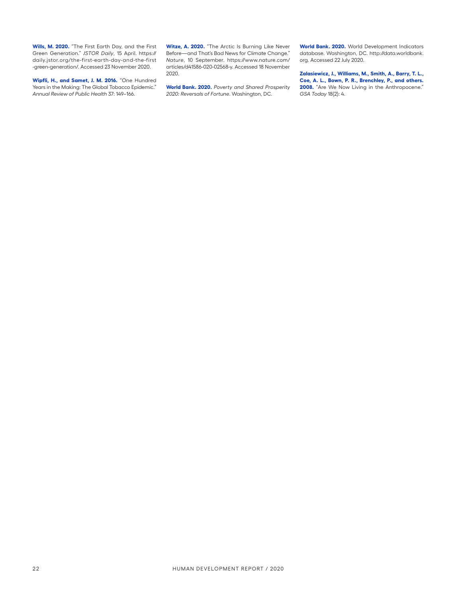**Wills, M. 2020.** "The First Earth Day, and the First Green Generation." *JSTOR Daily*, 15 April. [https://](https://daily.jstor.org/the-first-earth-day-and-the-first-green-generation/) [daily.jstor.org/the-first-earth-day-and-the-first](https://daily.jstor.org/the-first-earth-day-and-the-first-green-generation/) [-green-generation/](https://daily.jstor.org/the-first-earth-day-and-the-first-green-generation/). Accessed 23 November 2020.

**Wipfli, H., and Samet, J. M. 2016.** "One Hundred Years in the Making: The Global Tobacco Epidemic." *Annual Review of Public Health* 37: 149–166.

**Witze, A. 2020.** "The Arctic Is Burning Like Never Before—and That's Bad News for Climate Change." *Nature*, 10 September. [https://www.nature.com/](https://www.nature.com/articles/d41586-020-02568-y) [articles/d41586-020-02568-y.](https://www.nature.com/articles/d41586-020-02568-y) Accessed 18 November 2020.

**World Bank. 2020.** *Poverty and Shared Prosperity 2020: Reversals of Fortune*. Washington, DC.

**World Bank. 2020.** World Development Indicators database. Washington, DC. [http://data.worldbank.](http://data.worldbank.org) [org](http://data.worldbank.org). Accessed 22 July 2020.

**Zalasiewicz, J., Williams, M., Smith, A., Barry, T. L., Coe, A. L., Bown, P. R., Brenchley, P., and others. 2008.** "Are We Now Living in the Anthropocene." *GSA Today* 18(2): 4.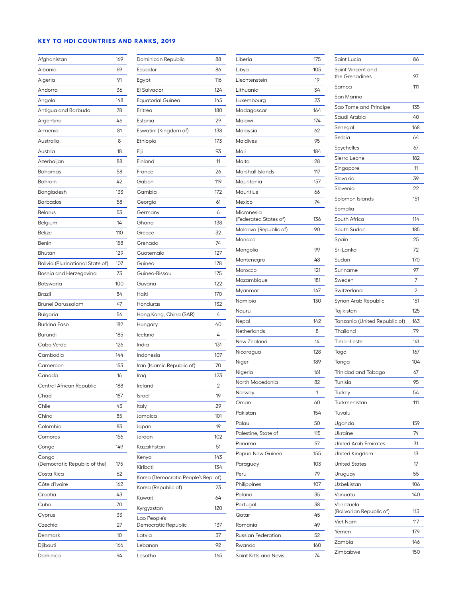# **KEY TO HDI COUNTRIES AND RANKS, 2019**

| Afghanistan                           | 169 |
|---------------------------------------|-----|
| Albania                               | 69  |
| Algeria                               | 91  |
| Andorra                               | 36  |
| Angola                                | 148 |
| Antigua and Barbuda                   | 78  |
| Argentina                             | 46  |
| Armenia                               | 81  |
| Australia                             | 8   |
| Austria                               | 18  |
| Azerbaijan                            | 88  |
| Bahamas                               | 58  |
| Bahrain                               | 42  |
| Bangladesh                            | 133 |
| <b>Barbados</b>                       | 58  |
| <b>Belarus</b>                        | 53  |
| Belgium                               | 14  |
| <b>Belize</b>                         | 110 |
| Benin                                 | 158 |
| Bhutan                                | 129 |
| Bolivia (Plurinational State of)      | 107 |
|                                       | 73  |
| Bosnia and Herzegovina<br>Botswana    | 100 |
|                                       |     |
| Brazil                                | 84  |
| Brunei Darussalam                     | 47  |
| Bulgaria                              | 56  |
| <b>Burkina Faso</b>                   | 182 |
| Burundi                               | 185 |
| Cabo Verde                            | 126 |
| Cambodia                              | 144 |
| Cameroon                              | 153 |
| Canada                                | 16  |
| Central African Republic              | 188 |
| Chad                                  | 187 |
| Chile                                 | 43  |
| China                                 | 85  |
| Colombia                              | 83  |
| Comoros                               | 156 |
| Congo                                 | 149 |
| Congo<br>(Democratic Republic of the) | 175 |
| Costa Rica                            | 62  |
| Côte d'Ivoire                         | 162 |
| Croatia                               | 43  |
| Cuba                                  | 70  |
| Cyprus                                | 33  |
| Czechia                               | 27  |
| Denmark                               | 10  |
| Djibouti                              | 166 |
| Dominica                              | 94  |

| Dominican Republic                  | 88             |
|-------------------------------------|----------------|
| Ecuador                             | 86             |
| Egypt                               | 116            |
| El Salvador                         | 124            |
| Equatorial Guinea                   | 145            |
| Eritrea                             | 180            |
| Estonia                             | 29             |
| Eswatini (Kingdom of)               | 138            |
| Ethiopia                            | 173            |
| Fiji                                | 93             |
| Finland                             | 11             |
| France                              | 26             |
| Gabon                               | 119            |
| Gambia                              | 172            |
| Georgia                             | 61             |
| Germany                             | 6              |
| Ghana                               | 138            |
| Greece                              | 32             |
| Grenada                             | 74             |
| Guatemala                           | 127            |
| Guinea                              | 178            |
| Guinea-Bissau                       | 175            |
| Guyana                              | 122            |
| Haiti                               | 170            |
| Honduras                            | 132            |
| Hong Kong, China (SAR)              | 4              |
|                                     | 40             |
| Hungary                             |                |
| Iceland                             | 4              |
| India                               | 131            |
| Indonesia                           | 107            |
| Iran (Islamic Republic of)          | 70             |
| Iraq                                | 123            |
| Ireland                             | $\overline{2}$ |
| Israel                              | 19             |
| Italy                               | 29             |
| Jamaica                             | 101            |
| Japan                               | 19             |
| Jordan                              | 102            |
| Kazakhstan                          | 51             |
| Kenya                               | 143            |
| Kiribati                            | 134            |
| Korea (Democratic People's Rep. of) |                |
| Korea (Republic of)                 | 23             |
| Kuwait                              | 64             |
| Kyrgyzstan                          | 120            |
| Lao People's                        |                |
| Democratic Republic                 | 137            |
| Latvia                              | 37             |
| Lebanon                             | 92             |
| Lesotho                             | 165            |

| Liberia                   | 175      |
|---------------------------|----------|
| Libya                     | 105      |
| Liechtenstein             | 19       |
| Lithuania                 | 34       |
| Luxembourg                | 23       |
| Madagascar                | 164      |
| Malawi                    | 174      |
| Malaysia                  | 62       |
| Maldives                  | 95       |
| Mali                      | 184      |
| Malta                     | 28       |
| Marshall Islands          | 117      |
| Mauritania                | 157      |
| Mauritius                 | 66       |
| Mexico                    | 74       |
| Micronesia                |          |
| (Federated States of)     | 136      |
| Moldova (Republic of)     | 90       |
| Monaco                    |          |
| Mongolia<br>Montenegro    | 99<br>48 |
|                           | 121      |
| Morocco                   | 181      |
| Mozambique<br>Myanmar     | 147      |
| Namibia                   | 130      |
| Nauru                     |          |
| Nepal                     | 142      |
| Netherlands               | 8        |
| New Zealand               | 14       |
| Nicaragua                 | 128      |
| Niger                     | 189      |
| Nigeria                   | 161      |
| North Macedonia           | 82       |
| Norway                    | 1        |
| Oman                      | 60       |
| Pakistan                  | 154      |
| Palau                     | 50       |
| Palestine, State of       | 115      |
| Panama                    | 57       |
| Papua New Guinea          | 155      |
| Paraguay                  | 103      |
| Peru                      | 79       |
| Philippines               | 107      |
| Poland                    | 35       |
| Portugal                  | 38       |
| Qatar                     | 45       |
| Romania                   | 49       |
| <b>Russian Federation</b> | 52       |
| Rwanda                    | 160      |
| Saint Kitts and Nevis     | 74       |

| Saint Lucia                           | 86             |
|---------------------------------------|----------------|
| Saint Vincent and                     |                |
| the Grenadines                        | 97             |
| Samoa                                 | 111            |
| San Marino                            |                |
| Sao Tome and Principe                 | 135            |
| Saudi Arabia                          | 40             |
| Senegal                               | 168            |
| Serbia                                | 64             |
| Seychelles                            | 67             |
| Sierra Leone                          | 182            |
| Singapore                             | 11             |
| Slovakia                              | 39             |
| Slovenia                              | 22             |
| Solomon Islands                       | 151            |
| Somalia                               |                |
| South Africa                          | 114            |
| South Sudan                           | 185            |
| Spain                                 | 25             |
| Sri Lanka                             | 72             |
| Sudan                                 | 170            |
| Suriname                              | 97             |
| Sweden                                | 7              |
| Switzerland                           | $\overline{2}$ |
| Syrian Arab Republic                  | 151            |
| Tajikistan                            | 125            |
| Tanzania (United Republic of)         | 163            |
| Thailand                              | 79             |
| <b>Timor-Leste</b>                    | 141            |
| Togo                                  | 167            |
| Tonga                                 | 104            |
| Trinidad and Tobago                   | 67             |
| Tunisia                               | 95             |
| Turkey                                | 54             |
| Turkmenistan                          | 111            |
| Tuvalu                                |                |
| Uganda                                | 159            |
| Ukraine                               | 74             |
| <b>United Arab Emirates</b>           | 31             |
| United Kingdom                        | 13             |
| <b>United States</b>                  | 17             |
| Uruguay                               | 55             |
| Uzbekistan                            | 106            |
| Vanuatu                               | 140            |
| Venezuela<br>(Bolivarian Republic of) | 113            |
| Viet Nam                              | 117            |
| Yemen                                 | 179            |
| Zambia                                | 146            |
| Zimbabwe                              | 150            |
|                                       |                |